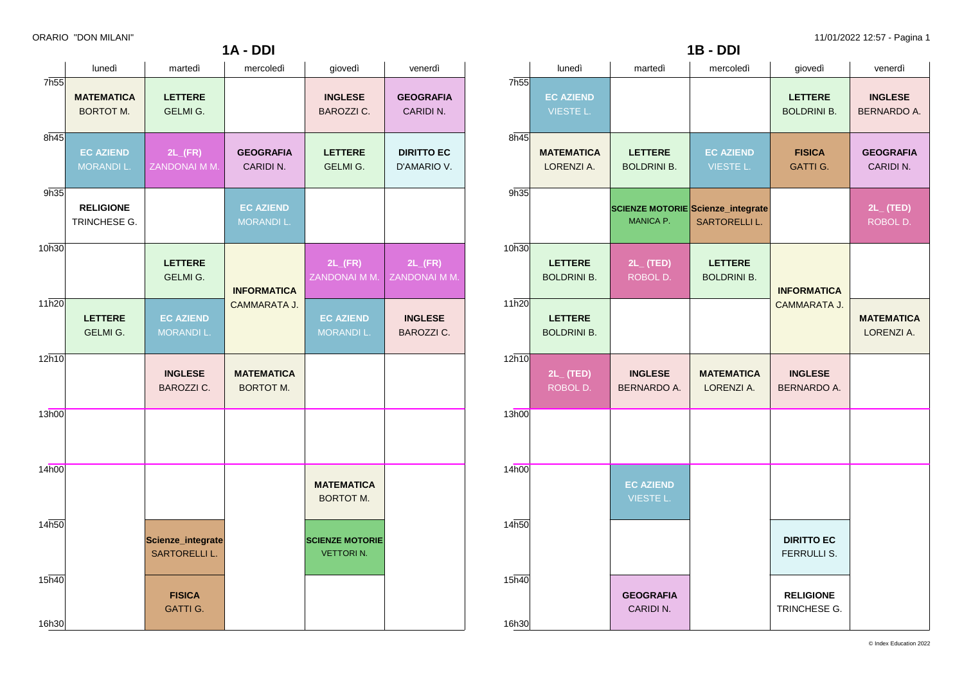|                  | lunedì                                | martedì                                   | mercoledì                             | giovedì                                    | venerdì                               |  |
|------------------|---------------------------------------|-------------------------------------------|---------------------------------------|--------------------------------------------|---------------------------------------|--|
| 7h <sub>55</sub> | <b>MATEMATICA</b><br><b>BORTOT M.</b> | <b>LETTERE</b><br><b>GELMI G.</b>         |                                       | <b>INGLESE</b><br><b>BAROZZI C.</b>        | <b>GEOGRAFIA</b><br>CARIDIN.          |  |
| 8h45             | <b>EC AZIEND</b><br><b>MORANDI L.</b> | $2L$ <sub>(FR)</sub><br>ZANDONAI M M.     | <b>GEOGRAFIA</b><br>CARIDIN.          | <b>LETTERE</b><br>GELMI G.                 | <b>DIRITTO EC</b><br>D'AMARIO V.      |  |
| 9h35             | <b>RELIGIONE</b><br>TRINCHESE G.      |                                           | <b>EC AZIEND</b><br>MORANDI L.        |                                            |                                       |  |
| 10h30            |                                       | <b>LETTERE</b><br>GELMI G.                | <b>INFORMATICA</b>                    | $2L$ <sub>(FR)</sub><br>ZANDONAI M M.      | $2L$ <sub>(FR)</sub><br>ZANDONAI M M. |  |
| 11h20            | <b>LETTERE</b><br>GELMI G.            | <b>EC AZIEND</b><br><b>MORANDI L.</b>     | CAMMARATA J.                          | <b>EC AZIEND</b><br>MORANDI L.             | <b>INGLESE</b><br><b>BAROZZI C.</b>   |  |
| 12h10            |                                       | <b>INGLESE</b><br><b>BAROZZI C.</b>       | <b>MATEMATICA</b><br><b>BORTOT M.</b> |                                            |                                       |  |
| 13h00            |                                       |                                           |                                       |                                            |                                       |  |
| 14h00            |                                       |                                           |                                       | <b>MATEMATICA</b><br><b>BORTOT M.</b>      |                                       |  |
| 14h50            |                                       | Scienze_integrate<br><b>SARTORELLI L.</b> |                                       | <b>SCIENZE MOTORIE</b><br><b>VETTORIN.</b> |                                       |  |
| 15h40<br>16h30   |                                       | <b>FISICA</b><br><b>GATTI G.</b>          |                                       |                                            |                                       |  |
|                  |                                       |                                           |                                       |                                            |                                       |  |

**1A - DDI**

|                | lunedì                               | martedì                              | mercoledì                                                        | giovedì                                 | venerdì                              |
|----------------|--------------------------------------|--------------------------------------|------------------------------------------------------------------|-----------------------------------------|--------------------------------------|
| 7h55           | <b>EC AZIEND</b><br><b>VIESTE L.</b> |                                      |                                                                  | <b>LETTERE</b><br><b>BOLDRINI B.</b>    | <b>INGLESE</b><br><b>BERNARDO A.</b> |
| 8h45           | <b>MATEMATICA</b><br>LORENZI A.      | <b>LETTERE</b><br><b>BOLDRINI B.</b> | <b>EC AZIEND</b><br><b>VIESTE L.</b>                             | <b>FISICA</b><br><b>GATTI G.</b>        | <b>GEOGRAFIA</b><br>CARIDI N.        |
| 9h35           |                                      | <b>MANICA P.</b>                     | <b>SCIENZE MOTORIE Scienze_integrate</b><br><b>SARTORELLI L.</b> |                                         | $2L_{-}$ (TED)<br>ROBOL D.           |
| 10h30          | <b>LETTERE</b><br><b>BOLDRINI B.</b> | $2L_{-}$ (TED)<br>ROBOL D.           | <b>LETTERE</b><br><b>BOLDRINI B.</b>                             | <b>INFORMATICA</b>                      |                                      |
| 11h20          | <b>LETTERE</b><br><b>BOLDRINI B.</b> |                                      |                                                                  | <b>CAMMARATA J.</b>                     | <b>MATEMATICA</b><br>LORENZI A.      |
| 12h10          | $2L_{-}$ (TED)<br>ROBOL D.           | <b>INGLESE</b><br>BERNARDO A.        | <b>MATEMATICA</b><br>LORENZI A.                                  | <b>INGLESE</b><br>BERNARDO A.           |                                      |
| 13h00          |                                      |                                      |                                                                  |                                         |                                      |
| 14h00          |                                      | <b>EC AZIEND</b><br><b>VIESTE L.</b> |                                                                  |                                         |                                      |
| 14h50          |                                      |                                      |                                                                  | <b>DIRITTO EC</b><br><b>FERRULLI S.</b> |                                      |
| 15h40<br>16h30 |                                      | <b>GEOGRAFIA</b><br>CARIDI N.        |                                                                  | <b>RELIGIONE</b><br>TRINCHESE G.        |                                      |

**1B - DDI**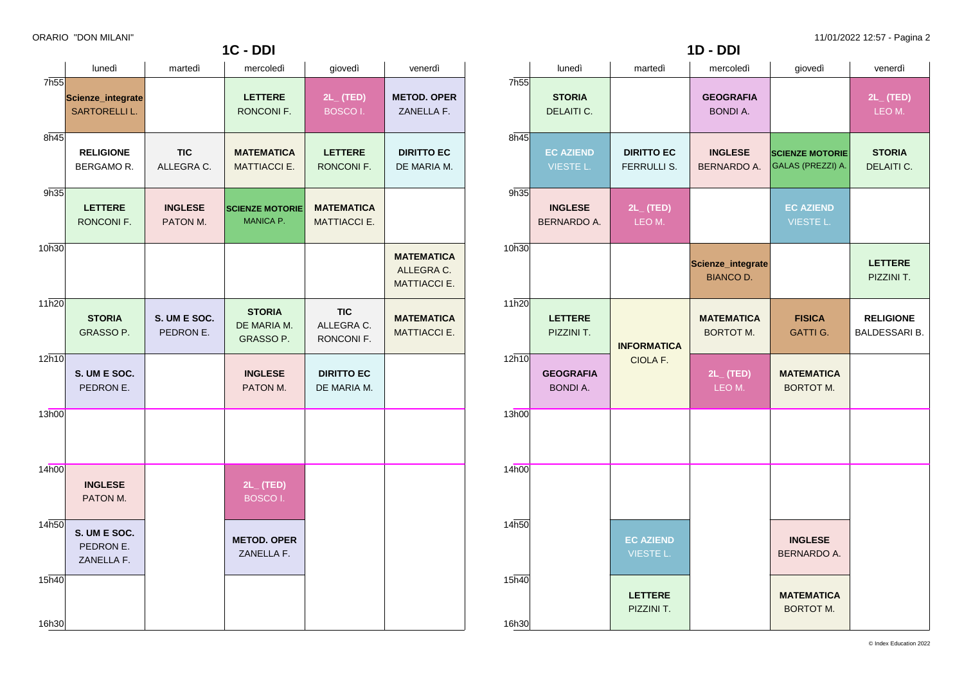|                | lunedì                                    | martedì                    | mercoledì                                  | giovedì                                | venerdì                                                |  |
|----------------|-------------------------------------------|----------------------------|--------------------------------------------|----------------------------------------|--------------------------------------------------------|--|
| 7h55           | Scienze_integrate<br><b>SARTORELLI L.</b> |                            | <b>LETTERE</b><br>RONCONI F.               | $2L_{-}$ (TED)<br><b>BOSCOI.</b>       | <b>METOD. OPER</b><br>ZANELLA F.                       |  |
| 8h45           | <b>RELIGIONE</b><br><b>BERGAMOR.</b>      | <b>TIC</b><br>ALLEGRA C.   | <b>MATEMATICA</b><br><b>MATTIACCI E.</b>   | <b>LETTERE</b><br>RONCONI F.           | <b>DIRITTO EC</b><br>DE MARIA M.                       |  |
| 9h35           | <b>LETTERE</b><br>RONCONI F.              | <b>INGLESE</b><br>PATON M. | <b>SCIENZE MOTORIE</b><br><b>MANICA P.</b> | <b>MATEMATICA</b><br>MATTIACCI E.      |                                                        |  |
| 10h30          |                                           |                            |                                            |                                        | <b>MATEMATICA</b><br>ALLEGRA C.<br><b>MATTIACCI E.</b> |  |
| 11h20          | <b>STORIA</b><br>GRASSO P.                | S. UM E SOC.<br>PEDRON E.  | <b>STORIA</b><br>DE MARIA M.<br>GRASSO P.  | <b>TIC</b><br>ALLEGRA C.<br>RONCONI F. | <b>MATEMATICA</b><br><b>MATTIACCI E.</b>               |  |
| 12h10          | S. UM E SOC.<br>PEDRON E.                 |                            | <b>INGLESE</b><br>PATON M.                 | <b>DIRITTO EC</b><br>DE MARIA M.       |                                                        |  |
| 13h00          |                                           |                            |                                            |                                        |                                                        |  |
| 14h00          | <b>INGLESE</b><br>PATON M.                |                            | 2L_ (TED)<br><b>BOSCOI.</b>                |                                        |                                                        |  |
| 14h50          | S. UM E SOC.<br>PEDRON E.<br>ZANELLA F.   |                            | <b>METOD, OPER</b><br>ZANELLA F.           |                                        |                                                        |  |
| 15h40<br>16h30 |                                           |                            |                                            |                                        |                                                        |  |

**1C - DDI**

|                  |                                     |                                         | $1D - DDI$                            |                                             |                                          |
|------------------|-------------------------------------|-----------------------------------------|---------------------------------------|---------------------------------------------|------------------------------------------|
|                  | lunedì                              | martedì                                 | mercoledì                             | giovedì                                     | venerdì                                  |
| 7h <sub>55</sub> | <b>STORIA</b><br>DELAITI C.         |                                         | <b>GEOGRAFIA</b><br><b>BONDI A.</b>   |                                             | $2L$ (TED)<br>LEO M.                     |
| 8h45             | <b>EC AZIEND</b><br>VIESTE L.       | <b>DIRITTO EC</b><br><b>FERRULLI S.</b> | <b>INGLESE</b><br><b>BERNARDO A.</b>  | <b>SCIENZE MOTORIE</b><br>GALAS (PREZZI) A. | <b>STORIA</b><br>DELAITI C.              |
| 9h35             | <b>INGLESE</b><br>BERNARDO A.       | $2L_{-}$ (TED)<br>LEO M.                |                                       | <b>EC AZIEND</b><br><b>VIESTE L.</b>        |                                          |
| 10h30            |                                     |                                         | Scienze_integrate<br><b>BIANCO D.</b> |                                             | <b>LETTERE</b><br>PIZZINI T.             |
| 11h20            | <b>LETTERE</b><br>PIZZINI T.        | <b>INFORMATICA</b>                      | <b>MATEMATICA</b><br><b>BORTOT M.</b> | <b>FISICA</b><br><b>GATTI G.</b>            | <b>RELIGIONE</b><br><b>BALDESSARI B.</b> |
| 12h10            | <b>GEOGRAFIA</b><br><b>BONDI A.</b> | CIOLA F.                                | $2L_{-}$ (TED)<br>LEO M.              | <b>MATEMATICA</b><br><b>BORTOT M.</b>       |                                          |
| 13h00            |                                     |                                         |                                       |                                             |                                          |
| 14h00            |                                     |                                         |                                       |                                             |                                          |
| 14h50            |                                     | <b>EC AZIEND</b><br><b>VIESTE L.</b>    |                                       | <b>INGLESE</b><br>BERNARDO A.               |                                          |
| 15h40<br>16h30   |                                     | <b>LETTERE</b><br>PIZZINI T.            |                                       | <b>MATEMATICA</b><br><b>BORTOT M.</b>       |                                          |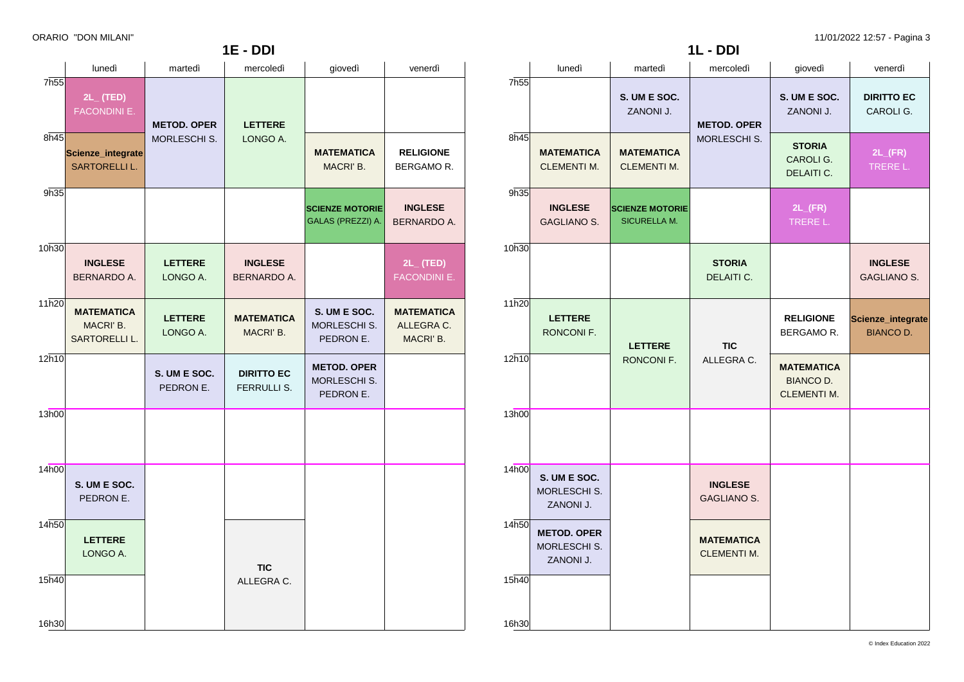| $1E - DDI$     |                                                            |                                    |                                      |                                                  |                                              |  |
|----------------|------------------------------------------------------------|------------------------------------|--------------------------------------|--------------------------------------------------|----------------------------------------------|--|
|                | lunedì                                                     | martedì                            | mercoledì                            | giovedì                                          | venerdì                                      |  |
| 7h55<br>8h45   | $2L_{-}$ (TED)<br><b>FACONDINI E.</b><br>Scienze_integrate | <b>METOD. OPER</b><br>MORLESCHI S. | <b>LETTERE</b><br>LONGO A.           | <b>MATEMATICA</b>                                | <b>RELIGIONE</b>                             |  |
|                | <b>SARTORELLI L.</b>                                       |                                    |                                      | MACRI' B.                                        | BERGAMOR.                                    |  |
| 9h35           |                                                            |                                    |                                      | <b>SCIENZE MOTORIE</b><br>GALAS (PREZZI) A.      | <b>INGLESE</b><br>BERNARDO A.                |  |
| 10h30          | <b>INGLESE</b><br><b>BERNARDO A.</b>                       | <b>LETTERE</b><br>LONGO A.         | <b>INGLESE</b><br><b>BERNARDO A.</b> |                                                  | $2L_{-}$ (TED)<br>FACONDINI E.               |  |
| 11h20          | <b>MATEMATICA</b><br>MACRI' B.<br><b>SARTORELLI L.</b>     | <b>LETTERE</b><br>LONGO A.         | <b>MATEMATICA</b><br>MACRI' B.       | S. UM E SOC.<br><b>MORLESCHI S.</b><br>PEDRON E. | <b>MATEMATICA</b><br>ALLEGRA C.<br>MACRI' B. |  |
| 12h10          |                                                            | S. UM E SOC.<br>PEDRON E.          | <b>DIRITTO EC</b><br>FERRULLI S.     | <b>METOD. OPER</b><br>MORLESCHI S.<br>PEDRON E.  |                                              |  |
| 13h00          |                                                            |                                    |                                      |                                                  |                                              |  |
| 14h00          | S. UM E SOC.<br>PEDRON E.                                  |                                    |                                      |                                                  |                                              |  |
| 14h50          | <b>LETTERE</b><br>LONGO A.                                 |                                    | <b>TIC</b>                           |                                                  |                                              |  |
| 15h40<br>16h30 |                                                            |                                    | ALLEGRA C.                           |                                                  |                                              |  |

|                  |                                                 | 1L - DDI                                      |                                         |                                                      |                                       |
|------------------|-------------------------------------------------|-----------------------------------------------|-----------------------------------------|------------------------------------------------------|---------------------------------------|
|                  | lunedì                                          | martedì                                       | mercoledì                               | giovedì                                              | venerdì                               |
| 7 <sub>h55</sub> |                                                 | S. UM E SOC.<br>ZANONI J.                     | <b>METOD. OPER</b>                      | S. UM E SOC.<br>ZANONI J.                            | <b>DIRITTO EC</b><br>CAROLI G.        |
| 8h45             | <b>MATEMATICA</b><br><b>CLEMENTI M.</b>         | <b>MATEMATICA</b><br><b>CLEMENTI M.</b>       | MORLESCHI S.                            | <b>STORIA</b><br>CAROLI G.<br>DELAITI C.             | $2L$ <sub>(FR)</sub><br>TRERE L.      |
| 9h35             | <b>INGLESE</b><br><b>GAGLIANO S.</b>            | <b>SCIENZE MOTORIE</b><br><b>SICURELLA M.</b> |                                         | $2L$ <sub>(FR)</sub><br>TRERE L.                     |                                       |
| 10h30            |                                                 |                                               | <b>STORIA</b><br>DELAITI C.             |                                                      | <b>INGLESE</b><br><b>GAGLIANO S.</b>  |
| 11h20            | <b>LETTERE</b><br>RONCONI F.                    | <b>LETTERE</b>                                | <b>TIC</b>                              | <b>RELIGIONE</b><br>BERGAMOR.                        | Scienze_integrate<br><b>BIANCO D.</b> |
| 12h10            |                                                 | RONCONI F.                                    | ALLEGRA C.                              | <b>MATEMATICA</b><br>BIANCO D.<br><b>CLEMENTI M.</b> |                                       |
| 13h00            |                                                 |                                               |                                         |                                                      |                                       |
| 14h00            | S. UM E SOC.<br>MORLESCHI S.<br>ZANONI J.       |                                               | <b>INGLESE</b><br><b>GAGLIANO S.</b>    |                                                      |                                       |
| 14h50            | <b>METOD. OPER</b><br>MORLESCHI S.<br>ZANONI J. |                                               | <b>MATEMATICA</b><br><b>CLEMENTI M.</b> |                                                      |                                       |
| 15h40<br>16h30   |                                                 |                                               |                                         |                                                      |                                       |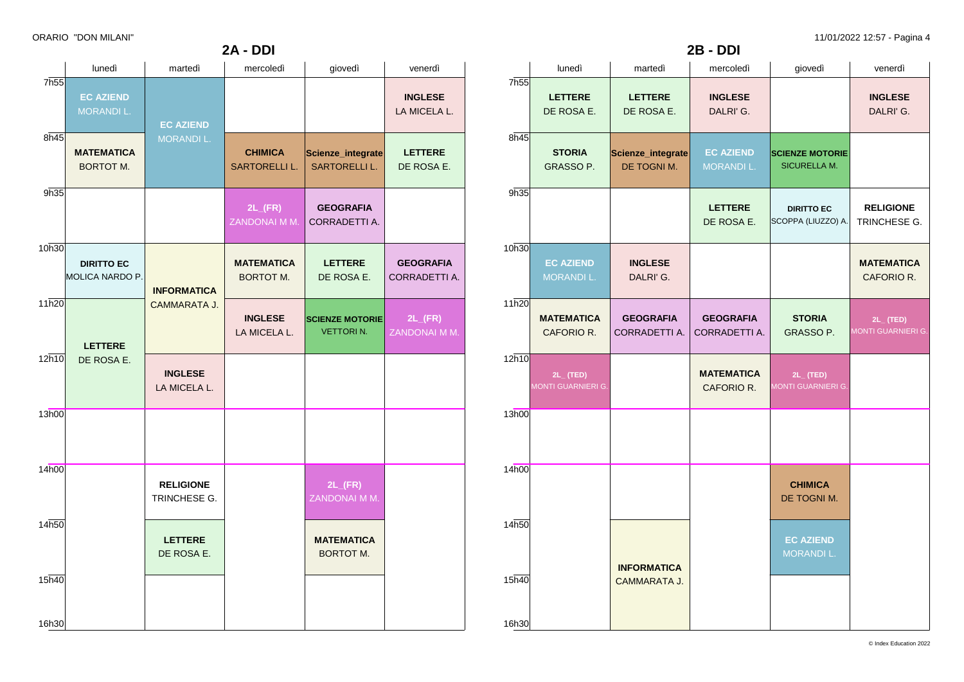**2A - DDI**

ORARIO "DON MILANI" 11/01/2022 12:57 - Pagina 4

| lunedì                                | martedì                          | mercoledì                             | giovedì                                    | venerdì                               |
|---------------------------------------|----------------------------------|---------------------------------------|--------------------------------------------|---------------------------------------|
| <b>EC AZIEND</b><br>MORANDI L.        |                                  |                                       |                                            | <b>INGLESE</b><br>LA MICELA L.        |
| <b>MATEMATICA</b><br><b>BORTOT M.</b> | MORANDI L.                       | <b>CHIMICA</b><br>SARTORELLI L.       | Scienze_integrate<br><b>SARTORELLI L.</b>  | <b>LETTERE</b><br>DE ROSA E.          |
|                                       |                                  | $2L$ <sub>(FR)</sub><br>ZANDONAI M M. | <b>GEOGRAFIA</b><br>CORRADETTI A.          |                                       |
| <b>DIRITTO EC</b>                     | <b>INFORMATICA</b>               | <b>MATEMATICA</b><br><b>BORTOT M.</b> | <b>LETTERE</b><br>DE ROSA E.               | <b>GEOGRAFIA</b><br>CORRADETTI A.     |
| <b>LETTERE</b>                        | <b>CAMMARATA J.</b>              | <b>INGLESE</b><br>LA MICELA L.        | <b>SCIENZE MOTORIE</b><br><b>VETTORIN.</b> | $2L$ <sub>(FR)</sub><br>ZANDONAI M M. |
| DE ROSA E.                            | <b>INGLESE</b><br>LA MICELA L.   |                                       |                                            |                                       |
|                                       |                                  |                                       |                                            |                                       |
|                                       | <b>RELIGIONE</b><br>TRINCHESE G. |                                       | $2L$ <sub>(FR)</sub><br>ZANDONAI M M.      |                                       |
|                                       | <b>LETTERE</b><br>DE ROSA E.     |                                       | <b>MATEMATICA</b><br><b>BORTOT M.</b>      |                                       |
|                                       |                                  |                                       |                                            |                                       |
|                                       | MOLICA NARDO P.                  | <b>EC AZIEND</b>                      |                                            |                                       |

|                  | <b>2B - DDI</b>                             |                                           |                                      |                                               |                                  |  |
|------------------|---------------------------------------------|-------------------------------------------|--------------------------------------|-----------------------------------------------|----------------------------------|--|
|                  | lunedì                                      | martedì                                   | mercoledì                            | giovedì                                       | venerdì                          |  |
| 7h <sub>55</sub> | <b>LETTERE</b><br>DE ROSA E.                | <b>LETTERE</b><br>DE ROSA E.              | <b>INGLESE</b><br>DALRI'G.           |                                               | <b>INGLESE</b><br>DALRI'G.       |  |
| 8h45             | <b>STORIA</b><br>GRASSO P.                  | Scienze_integrate<br>DE TOGNI M.          | <b>EC AZIEND</b><br><b>MORANDIL.</b> | <b>SCIENZE MOTORIE</b><br><b>SICURELLA M.</b> |                                  |  |
| 9h35             |                                             |                                           | <b>LETTERE</b><br>DE ROSA E.         | <b>DIRITTO EC</b><br>SCOPPA (LIUZZO) A.       | <b>RELIGIONE</b><br>TRINCHESE G. |  |
| 10h30            | <b>EC AZIEND</b><br><b>MORANDIL.</b>        | <b>INGLESE</b><br>DALRI'G.                |                                      |                                               | <b>MATEMATICA</b><br>CAFORIO R.  |  |
| 11h20            | <b>MATEMATICA</b><br>CAFORIO R.             | <b>GEOGRAFIA</b><br>CORRADETTI A.         | <b>GEOGRAFIA</b><br>CORRADETTI A.    | <b>STORIA</b><br>GRASSO P.                    | $2L$ (TED)<br>MONTI GUARNIERI G. |  |
| 12h10            | $2L_{-}$ (TED)<br><b>MONTI GUARNIERI G.</b> |                                           | <b>MATEMATICA</b><br>CAFORIO R.      | $2L_{-}$ (TED)<br><b>MONTI GUARNIERI G.</b>   |                                  |  |
| 13h00            |                                             |                                           |                                      |                                               |                                  |  |
| 14h00            |                                             |                                           |                                      | <b>CHIMICA</b><br>DE TOGNI M.                 |                                  |  |
| 14h50            |                                             |                                           |                                      | <b>EC AZIEND</b><br><b>MORANDI L.</b>         |                                  |  |
| 15h40            |                                             | <b>INFORMATICA</b><br><b>CAMMARATA J.</b> |                                      |                                               |                                  |  |
| 16h30            |                                             |                                           |                                      |                                               |                                  |  |

© Index Education 2022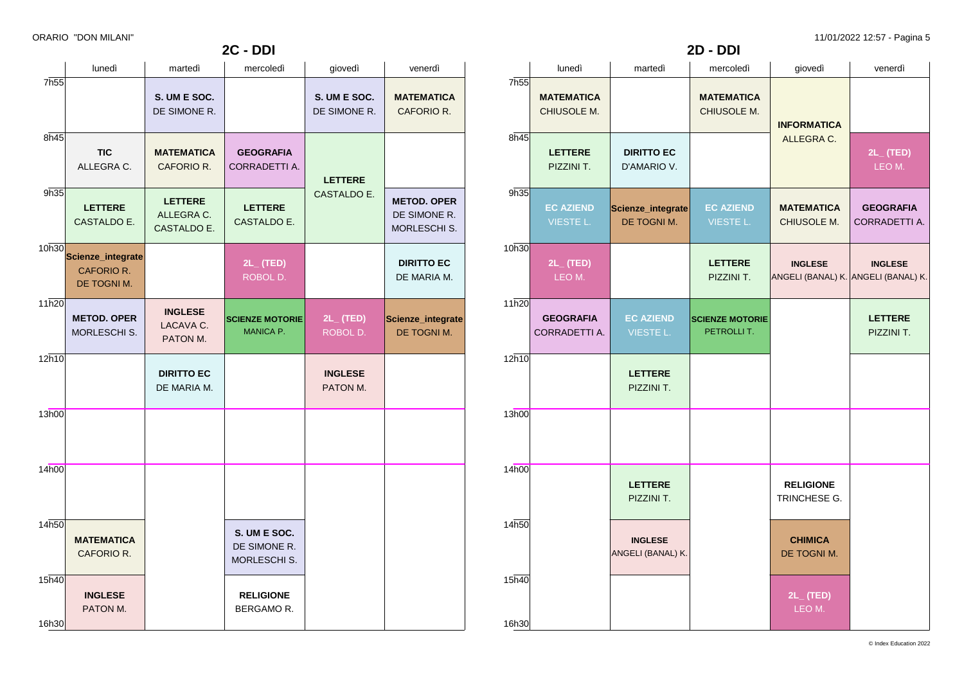| <b>2D - DDI</b> |                                   |                                     |                                       |                                                       |                                          |  |
|-----------------|-----------------------------------|-------------------------------------|---------------------------------------|-------------------------------------------------------|------------------------------------------|--|
|                 | lunedì                            | martedì                             | mercoledì                             | giovedì                                               | venerdì                                  |  |
| 7h55            | <b>MATEMATICA</b><br>CHIUSOLE M.  |                                     | <b>MATEMATICA</b><br>CHIUSOLE M.      | <b>INFORMATICA</b>                                    |                                          |  |
| 8h45            | <b>LETTERE</b><br>PIZZINI T.      | <b>DIRITTO EC</b><br>D'AMARIO V.    |                                       | ALLEGRA C.                                            | $2L_{-}$ (TED)<br>LEO M.                 |  |
| 9h35            | <b>EC AZIEND</b><br>VIESTE L.     | Scienze_integrate<br>DE TOGNI M.    | <b>EC AZIEND</b><br>VIESTE L.         | <b>MATEMATICA</b><br>CHIUSOLE M.                      | <b>GEOGRAFIA</b><br><b>CORRADETTI A.</b> |  |
| 10h30           | $2L_{-}$ (TED)<br>LEO M.          |                                     | <b>LETTERE</b><br>PIZZINI T.          | <b>INGLESE</b><br>ANGELI (BANAL) K. ANGELI (BANAL) K. | <b>INGLESE</b>                           |  |
| 11h20           | <b>GEOGRAFIA</b><br>CORRADETTI A. | <b>EC AZIEND</b><br>VIESTE L.       | <b>SCIENZE MOTORIE</b><br>PETROLLI T. |                                                       | <b>LETTERE</b><br>PIZZINI T.             |  |
| 12h10           |                                   | <b>LETTERE</b><br>PIZZINI T.        |                                       |                                                       |                                          |  |
| 13h00           |                                   |                                     |                                       |                                                       |                                          |  |
| 14h00           |                                   | <b>LETTERE</b><br>PIZZINI T.        |                                       | <b>RELIGIONE</b><br>TRINCHESE G.                      |                                          |  |
| 14h50           |                                   | <b>INGLESE</b><br>ANGELI (BANAL) K. |                                       | <b>CHIMICA</b><br>DE TOGNI M.                         |                                          |  |
| 15h40<br>16h30  |                                   |                                     |                                       | $2L_{-}$ (TED)<br>LEO M.                              |                                          |  |

|                | lunedì                                         | martedì                                     | mercoledì                                    | giovedì                      | venerdì                                            |
|----------------|------------------------------------------------|---------------------------------------------|----------------------------------------------|------------------------------|----------------------------------------------------|
| 7h55           |                                                | S. UM E SOC.<br>DE SIMONE R.                |                                              | S. UM E SOC.<br>DE SIMONE R. | <b>MATEMATICA</b><br>CAFORIO R.                    |
| 8h45           | <b>TIC</b><br>ALLEGRA C.                       | <b>MATEMATICA</b><br>CAFORIO R.             | <b>GEOGRAFIA</b><br>CORRADETTI A.            | <b>LETTERE</b>               |                                                    |
| 9h35           | <b>LETTERE</b><br>CASTALDO E.                  | <b>LETTERE</b><br>ALLEGRA C.<br>CASTALDO E. | <b>LETTERE</b><br>CASTALDO E.                | CASTALDO E.                  | <b>METOD. OPER</b><br>DE SIMONE R.<br>MORLESCHI S. |
| 10h30          | Scienze_integrate<br>CAFORIO R.<br>DE TOGNI M. |                                             | $2L_{-}$ (TED)<br>ROBOL D.                   |                              | <b>DIRITTO EC</b><br>DE MARIA M.                   |
| 11h20          | <b>METOD. OPER</b><br><b>MORLESCHI S.</b>      | <b>INGLESE</b><br>LACAVA C.<br>PATON M.     | <b>SCIENZE MOTORIE</b><br>MANICA P.          | $2L_{-}$ (TED)<br>ROBOL D.   | Scienze_integrate<br>DE TOGNI M.                   |
| 12h10          |                                                | <b>DIRITTO EC</b><br>DE MARIA M.            |                                              | <b>INGLESE</b><br>PATON M.   |                                                    |
| 13h00          |                                                |                                             |                                              |                              |                                                    |
| 14h00          |                                                |                                             |                                              |                              |                                                    |
| 14h50          | <b>MATEMATICA</b><br>CAFORIO R.                |                                             | S. UM E SOC.<br>DE SIMONE R.<br>MORLESCHI S. |                              |                                                    |
| 15h40<br>16h30 | <b>INGLESE</b><br>PATON M.                     |                                             | <b>RELIGIONE</b><br>BERGAMO R.               |                              |                                                    |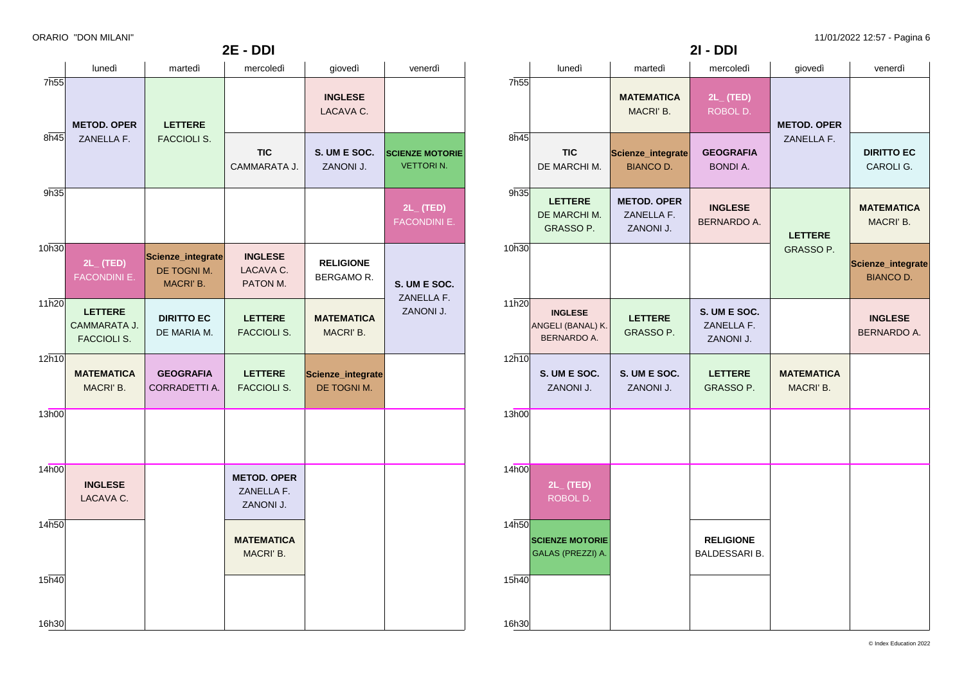|                  | lunedì                                               | martedì                                              | mercoledì                                     | giovedì                          | venerdì                                    |
|------------------|------------------------------------------------------|------------------------------------------------------|-----------------------------------------------|----------------------------------|--------------------------------------------|
| 7h <sub>55</sub> | <b>METOD. OPER</b>                                   | <b>LETTERE</b>                                       |                                               | <b>INGLESE</b><br>LACAVA C.      |                                            |
| 8h45             | ZANELLA F.                                           | <b>FACCIOLI S.</b>                                   | <b>TIC</b><br>CAMMARATA J.                    | S. UM E SOC.<br>ZANONI J.        | <b>SCIENZE MOTORIE</b><br><b>VETTORIN.</b> |
| 9h35             |                                                      |                                                      |                                               |                                  | $2L_{-}$ (TED)<br><b>FACONDINI E.</b>      |
| 10h30            | $2L_{-}$ (TED)<br>FACONDINI E.                       | Scienze_integrate<br>DE TOGNI M.<br><b>MACRI' B.</b> | <b>INGLESE</b><br>LACAVA C.<br>PATON M.       | <b>RELIGIONE</b><br>BERGAMOR.    | S. UM E SOC.                               |
| 11h20            | <b>LETTERE</b><br>CAMMARATA J.<br><b>FACCIOLI S.</b> | <b>DIRITTO EC</b><br>DE MARIA M.                     | <b>LETTERE</b><br><b>FACCIOLI S.</b>          | <b>MATEMATICA</b><br>MACRI' B.   | ZANELLA F.<br>ZANONI J.                    |
| 12h10            | <b>MATEMATICA</b><br>MACRI' B.                       | <b>GEOGRAFIA</b><br>CORRADETTI A.                    | <b>LETTERE</b><br><b>FACCIOLI S.</b>          | Scienze_integrate<br>DE TOGNI M. |                                            |
| 13h00            |                                                      |                                                      |                                               |                                  |                                            |
| 14h00            | <b>INGLESE</b><br>LACAVA C.                          |                                                      | <b>METOD. OPER</b><br>ZANELLA F.<br>ZANONI J. |                                  |                                            |
| 14h50            |                                                      |                                                      | <b>MATEMATICA</b><br>MACRI' B.                |                                  |                                            |
| 15h40<br>16h30   |                                                      |                                                      |                                               |                                  |                                            |
|                  |                                                      |                                                      |                                               |                                  |                                            |

**2E - DDI**

|       | lunedì                                                    | martedì                                       | mercoledì                                | giovedì                       | venerdì                               |
|-------|-----------------------------------------------------------|-----------------------------------------------|------------------------------------------|-------------------------------|---------------------------------------|
| 7h55  |                                                           | <b>MATEMATICA</b><br>MACRI' B.                | $2L_{-}$ (TED)<br>ROBOL D.               | <b>METOD. OPER</b>            |                                       |
| 8h45  | <b>TIC</b><br>DE MARCHI M.                                | Scienze_integrate<br><b>BIANCO D.</b>         | <b>GEOGRAFIA</b><br><b>BONDI A.</b>      | ZANELLA F.                    | <b>DIRITTO EC</b><br>CAROLI G.        |
| 9h35  | <b>LETTERE</b><br>DE MARCHI M.<br>GRASSO P.               | <b>METOD, OPER</b><br>ZANELLA F.<br>ZANONI J. | <b>INGLESE</b><br>BERNARDO A.            | <b>LETTERE</b>                | <b>MATEMATICA</b><br>MACRI' B.        |
| 10h30 |                                                           |                                               |                                          | GRASSO P.                     | Scienze_integrate<br><b>BIANCO D.</b> |
| 11h20 | <b>INGLESE</b><br>ANGELI (BANAL) K.<br><b>BERNARDO A.</b> | <b>LETTERE</b><br>GRASSO P.                   | S. UM E SOC.<br>ZANELLA F.<br>ZANONI J.  |                               | <b>INGLESE</b><br><b>BERNARDO A.</b>  |
| 12h10 | S. UM E SOC.<br>ZANONI J.                                 | S. UM E SOC.<br>ZANONI J.                     | <b>LETTERE</b><br>GRASSO P.              | <b>MATEMATICA</b><br>MACRI'B. |                                       |
| 13h00 |                                                           |                                               |                                          |                               |                                       |
| 14h00 | $2L_{-}$ (TED)<br>ROBOL D.                                |                                               |                                          |                               |                                       |
| 14h50 | <b>SCIENZE MOTORIE</b><br>GALAS (PREZZI) A.               |                                               | <b>RELIGIONE</b><br><b>BALDESSARI B.</b> |                               |                                       |
| 15h40 |                                                           |                                               |                                          |                               |                                       |
| 16h30 |                                                           |                                               |                                          |                               |                                       |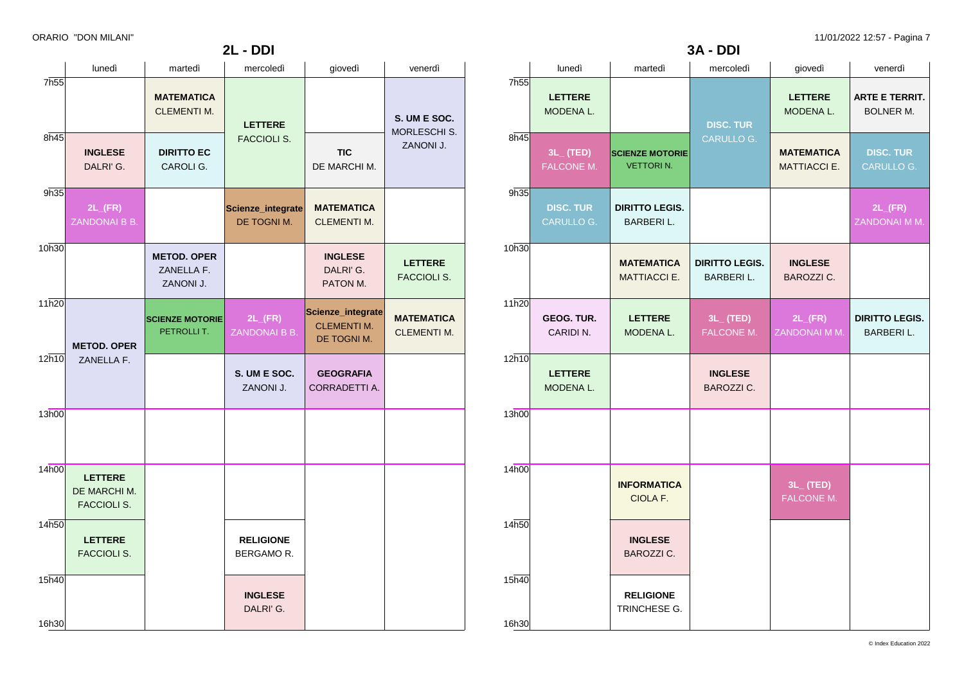|         |       |                                |                                            | 3A - DDI                                  |                                          |                                            |
|---------|-------|--------------------------------|--------------------------------------------|-------------------------------------------|------------------------------------------|--------------------------------------------|
|         |       | lunedì                         | martedì                                    | mercoledì                                 | giovedì                                  | venerdì                                    |
|         | 7h55  | <b>LETTERE</b><br>MODENA L.    |                                            | <b>DISC. TUR</b>                          | <b>LETTERE</b><br>MODENA L.              | <b>ARTE E TERRIT.</b><br>BOLNER M.         |
| S.      | 8h45  | $3L_{-}$ (TED)<br>FALCONE M.   | <b>SCIENZE MOTORIE</b><br><b>VETTORIN.</b> | CARULLO G.                                | <b>MATEMATICA</b><br><b>MATTIACCI E.</b> | <b>DISC. TUR</b><br>CARULLO G.             |
|         | 9h35  | <b>DISC. TUR</b><br>CARULLO G. | <b>DIRITTO LEGIS.</b><br><b>BARBERIL.</b>  |                                           |                                          | $2L$ <sub>(FR)</sub><br>ZANDONAI M M.      |
|         | 10h30 |                                | <b>MATEMATICA</b><br>MATTIACCI E.          | <b>DIRITTO LEGIS.</b><br><b>BARBERIL.</b> | <b>INGLESE</b><br>BAROZZI C.             |                                            |
| A<br>1. | 11h20 | GEOG. TUR.<br>CARIDI N.        | <b>LETTERE</b><br>MODENA L.                | $3L_{-}$ (TED)<br>FALCONE M.              | $2L$ <sub>(FR)</sub><br>ZANDONAI M M.    | <b>DIRITTO LEGIS.</b><br><b>BARBERI L.</b> |
|         | 12h10 | <b>LETTERE</b><br>MODENA L.    |                                            | <b>INGLESE</b><br><b>BAROZZI C.</b>       |                                          |                                            |
|         | 13h00 |                                |                                            |                                           |                                          |                                            |
|         | 14h00 |                                | <b>INFORMATICA</b><br>CIOLA F.             |                                           | $3L_{-}$ (TED)<br><b>FALCONE M.</b>      |                                            |
|         | 14h50 |                                | <b>INGLESE</b><br><b>BAROZZI C.</b>        |                                           |                                          |                                            |
|         | 15h40 |                                | <b>RELIGIONE</b><br>TRINCHESE G.           |                                           |                                          |                                            |
|         | 16h30 |                                |                                            |                                           |                                          |                                            |

|                   | lunedì                                               | martedì                                       | mercoledì                             | giovedì                                                | venerdì                                   |
|-------------------|------------------------------------------------------|-----------------------------------------------|---------------------------------------|--------------------------------------------------------|-------------------------------------------|
| 7 <sub>h55</sub>  |                                                      | <b>MATEMATICA</b><br><b>CLEMENTI M.</b>       | <b>LETTERE</b>                        |                                                        | S. UM E SOC.<br>MORLESCHI S.<br>ZANONI J. |
| $8\overline{n45}$ | <b>INGLESE</b><br>DALRI'G.                           | <b>DIRITTO EC</b><br>CAROLI G.                | <b>FACCIOLI S.</b>                    | <b>TIC</b><br>DE MARCHI M.                             |                                           |
| 9h35              | $2L$ <sub>(FR)</sub><br>ZANDONAI B B.                |                                               | Scienze_integrate<br>DE TOGNI M.      | <b>MATEMATICA</b><br><b>CLEMENTI M.</b>                |                                           |
| 10h30             |                                                      | <b>METOD. OPER</b><br>ZANELLA F.<br>ZANONI J. |                                       | <b>INGLESE</b><br>DALRI'G.<br>PATON M.                 | <b>LETTERE</b><br><b>FACCIOLI S.</b>      |
| 11h20             | <b>METOD. OPER</b>                                   | <b>SCIENZE MOTORIE</b><br>PETROLLIT.          | $2L$ <sub>(FR)</sub><br>ZANDONAI B B. | Scienze_integrate<br><b>CLEMENTI M.</b><br>DE TOGNI M. | <b>MATEMATICA</b><br><b>CLEMENTI M.</b>   |
| 12h10             | ZANELLA F.                                           |                                               | S. UM E SOC.<br>ZANONI J.             | <b>GEOGRAFIA</b><br>CORRADETTI A.                      |                                           |
| 13h00             |                                                      |                                               |                                       |                                                        |                                           |
| 14h00             | <b>LETTERE</b><br>DE MARCHI M.<br><b>FACCIOLI S.</b> |                                               |                                       |                                                        |                                           |
| 14 <sub>h50</sub> | <b>LETTERE</b><br><b>FACCIOLI S.</b>                 |                                               | <b>RELIGIONE</b><br>BERGAMO R.        |                                                        |                                           |
| 15h40             |                                                      |                                               | <b>INGLESE</b><br>DALRI'G.            |                                                        |                                           |
| 16h30             |                                                      |                                               |                                       |                                                        |                                           |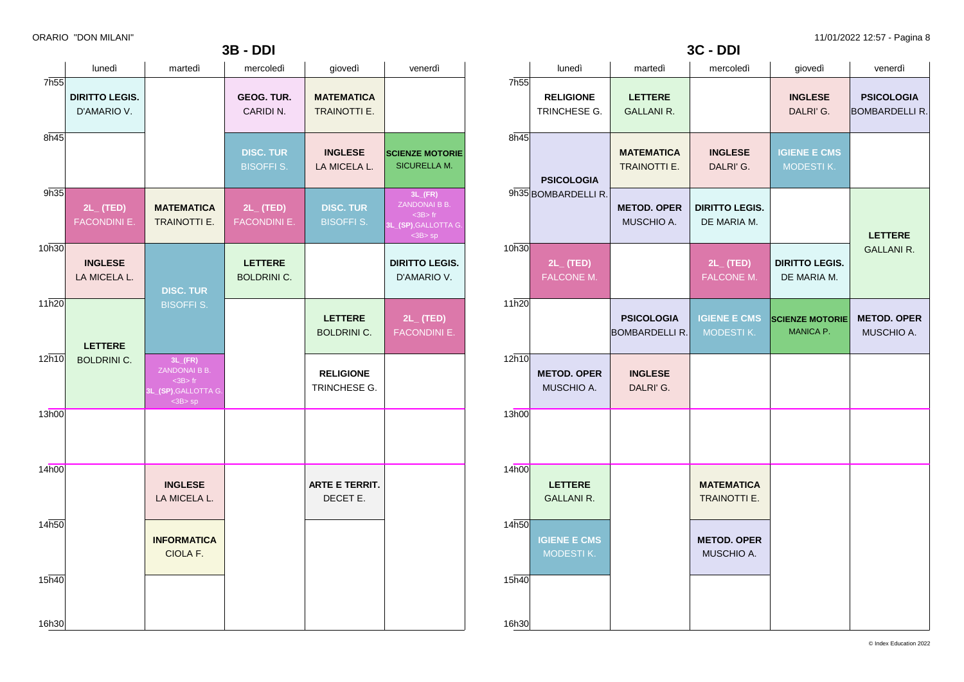|                  | <b>3B - DDI</b>                       |                                                                                     |                                       |                                       |                                                                                     |  |  |
|------------------|---------------------------------------|-------------------------------------------------------------------------------------|---------------------------------------|---------------------------------------|-------------------------------------------------------------------------------------|--|--|
|                  | lunedì                                | martedì                                                                             | mercoledì                             | giovedì                               | venerdì                                                                             |  |  |
| 7h <sub>55</sub> | <b>DIRITTO LEGIS.</b><br>D'AMARIO V.  |                                                                                     | <b>GEOG. TUR.</b><br>CARIDIN.         | <b>MATEMATICA</b><br>TRAINOTTI E.     |                                                                                     |  |  |
| 8h45             |                                       |                                                                                     | <b>DISC. TUR</b><br><b>BISOFFI S.</b> | <b>INGLESE</b><br>LA MICELA L.        | <b>SCIENZE MOTORIE</b><br><b>SICURELLA M.</b>                                       |  |  |
| 9h35             | $2L_{-}$ (TED)<br><b>FACONDINI E.</b> | <b>MATEMATICA</b><br><b>TRAINOTTI E.</b>                                            | $2L_{-}$ (TED)<br><b>FACONDINI E.</b> | <b>DISC. TUR</b><br><b>BISOFFI S.</b> | $3L$ <sub>(FR)</sub><br>ZANDONAI B B.<br>$3B$ fr<br>3L_(SP), GALLOTTA G.<br><3B> sp |  |  |
| 10h30            | <b>INGLESE</b><br>LA MICELA L.        | <b>DISC. TUR</b>                                                                    | <b>LETTERE</b><br><b>BOLDRINI C.</b>  |                                       | <b>DIRITTO LEGIS.</b><br>D'AMARIO V.                                                |  |  |
| 11h20            | <b>LETTERE</b>                        | <b>BISOFFIS.</b>                                                                    |                                       | <b>LETTERE</b><br><b>BOLDRINI C.</b>  | $2L_{-}$ (TED)<br><b>FACONDINI E.</b>                                               |  |  |
| 12h10            | <b>BOLDRINI C.</b>                    | $3L$ <sub>(FR)</sub><br>ZANDONAI B B.<br>$3B$ fr<br>3L_(SP), GALLOTTA G.<br>$3B>sp$ |                                       | <b>RELIGIONE</b><br>TRINCHESE G.      |                                                                                     |  |  |
| 13h00            |                                       |                                                                                     |                                       |                                       |                                                                                     |  |  |
| 14h00            |                                       | <b>INGLESE</b><br>LA MICELA L.                                                      |                                       | <b>ARTE E TERRIT.</b><br>DECET E.     |                                                                                     |  |  |
| 14h50            |                                       | <b>INFORMATICA</b><br>CIOLA F.                                                      |                                       |                                       |                                                                                     |  |  |
| 15h40            |                                       |                                                                                     |                                       |                                       |                                                                                     |  |  |
| 16h30            |                                       |                                                                                     |                                       |                                       |                                                                                     |  |  |

|                  | lunedì                              | martedì                                    | mercoledì                               | giovedì                                    | venerdì                                    |
|------------------|-------------------------------------|--------------------------------------------|-----------------------------------------|--------------------------------------------|--------------------------------------------|
| 7h <sub>55</sub> | <b>RELIGIONE</b><br>TRINCHESE G.    | <b>LETTERE</b><br><b>GALLANI R.</b>        |                                         | <b>INGLESE</b><br>DALRI'G.                 | <b>PSICOLOGIA</b><br><b>BOMBARDELLI R.</b> |
| 8h45             | <b>PSICOLOGIA</b>                   | <b>MATEMATICA</b><br><b>TRAINOTTI E.</b>   | <b>INGLESE</b><br>DALRI'G.              | <b>IGIENE E CMS</b><br>MODESTIK.           |                                            |
|                  | 9h35 BOMBARDELLIR.                  | <b>METOD. OPER</b><br>MUSCHIO A.           | <b>DIRITTO LEGIS.</b><br>DE MARIA M.    |                                            | <b>LETTERE</b>                             |
| 10h30            | $2L_{-}$ (TED)<br>FALCONE M.        |                                            | $2L_{-}$ (TED)<br>FALCONE M.            | <b>DIRITTO LEGIS.</b><br>DE MARIA M.       | <b>GALLANI R.</b>                          |
| 11h20            |                                     | <b>PSICOLOGIA</b><br><b>BOMBARDELLI R.</b> | <b>IGIENE E CMS</b><br><b>MODESTIK.</b> | <b>SCIENZE MOTORIE</b><br><b>MANICA P.</b> | <b>METOD. OPER</b><br>MUSCHIO A.           |
| 12h10            | <b>METOD. OPER</b><br>MUSCHIO A.    | <b>INGLESE</b><br>DALRI'G.                 |                                         |                                            |                                            |
| 13h00            |                                     |                                            |                                         |                                            |                                            |
| 14h00            | <b>LETTERE</b><br><b>GALLANI R.</b> |                                            | <b>MATEMATICA</b><br>TRAINOTTI E.       |                                            |                                            |
| 14h50            | <b>IGIENE E CMS</b><br>MODESTIK.    |                                            | <b>METOD. OPER</b><br>MUSCHIO A.        |                                            |                                            |
| 15h40            |                                     |                                            |                                         |                                            |                                            |
| 16h30            |                                     |                                            |                                         |                                            |                                            |

**3C - DDI**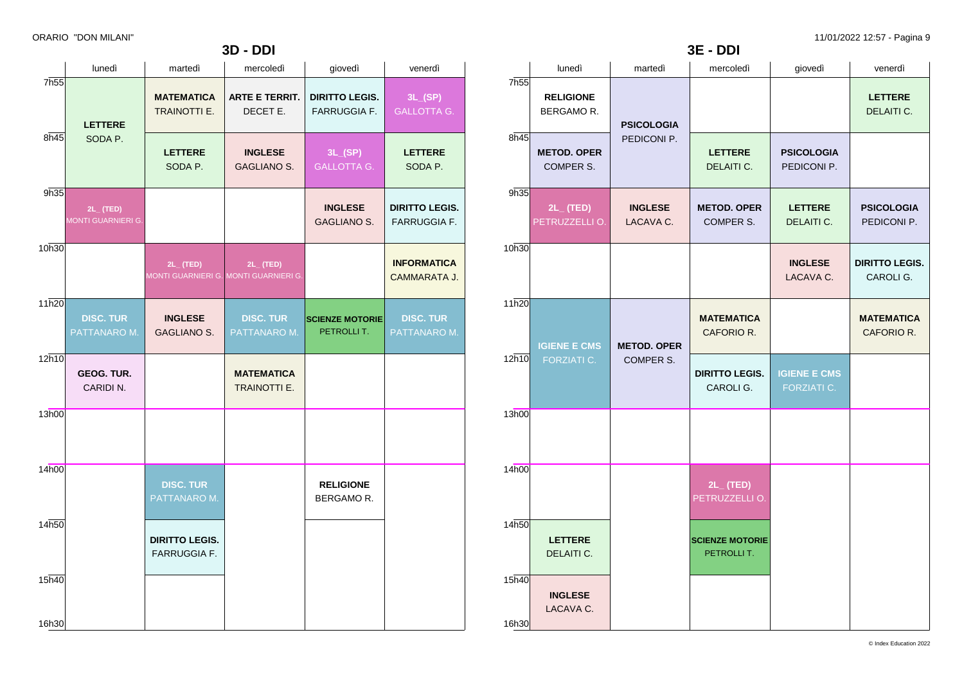|                  |                                      |                                              | <b>3D - DDI</b>                                         |                                              |                                              |
|------------------|--------------------------------------|----------------------------------------------|---------------------------------------------------------|----------------------------------------------|----------------------------------------------|
|                  | lunedì                               | martedì                                      | mercoledì                                               | giovedì                                      | venerdì                                      |
| 7h <sub>55</sub> | <b>LETTERE</b>                       | <b>MATEMATICA</b><br><b>TRAINOTTI E.</b>     | <b>ARTE E TERRIT.</b><br>DECET E.                       | <b>DIRITTO LEGIS.</b><br><b>FARRUGGIA F.</b> | 3L(SP)<br><b>GALLOTTA G.</b>                 |
| 8h45             | SODA P.                              | <b>LETTERE</b><br>SODA P.                    | <b>INGLESE</b><br><b>GAGLIANO S.</b>                    | 3L(SP)<br><b>GALLOTTA G.</b>                 | <b>LETTERE</b><br>SODA P.                    |
| 9h35             | $2L_{-}$ (TED)<br>MONTI GUARNIERI G. |                                              |                                                         | <b>INGLESE</b><br><b>GAGLIANO S.</b>         | <b>DIRITTO LEGIS.</b><br><b>FARRUGGIA F.</b> |
| 10h30            |                                      | $2L_{-}$ (TED)                               | $2L_{-}$ (TED)<br>MONTI GUARNIERI G. MONTI GUARNIERI G. |                                              | <b>INFORMATICA</b><br>CAMMARATA J.           |
| 11h20            | <b>DISC. TUR</b><br>PATTANARO M.     | <b>INGLESE</b><br><b>GAGLIANO S.</b>         | <b>DISC. TUR</b><br>PATTANARO M.                        | <b>SCIENZE MOTORIE</b><br>PETROLLIT.         | <b>DISC. TUR</b><br>PATTANARO M.             |
| 12h10            | <b>GEOG. TUR.</b><br>CARIDI N.       |                                              | <b>MATEMATICA</b><br><b>TRAINOTTI E.</b>                |                                              |                                              |
| 13h00            |                                      |                                              |                                                         |                                              |                                              |
| 14h00            |                                      | <b>DISC. TUR</b><br>PATTANARO M.             |                                                         | <b>RELIGIONE</b><br>BERGAMOR.                |                                              |
| 14h50            |                                      | <b>DIRITTO LEGIS.</b><br><b>FARRUGGIA F.</b> |                                                         |                                              |                                              |
| 15h40            |                                      |                                              |                                                         |                                              |                                              |
| 16h30            |                                      |                                              |                                                         |                                              |                                              |

|                | lunedì                           | martedì                     | mercoledì                            | giovedì                            | venerdì                            |  |
|----------------|----------------------------------|-----------------------------|--------------------------------------|------------------------------------|------------------------------------|--|
| 7h55           | <b>RELIGIONE</b><br>BERGAMO R.   | <b>PSICOLOGIA</b>           |                                      |                                    | <b>LETTERE</b><br>DELAITI C.       |  |
| 8h45           | <b>METOD. OPER</b><br>COMPER S.  | PEDICONI P.                 | <b>LETTERE</b><br>DELAITI C.         | <b>PSICOLOGIA</b><br>PEDICONI P.   |                                    |  |
| 9h35           | $2L_{-}$ (TED)<br>PETRUZZELLI O. | <b>INGLESE</b><br>LACAVA C. | <b>METOD. OPER</b><br>COMPER S.      | <b>LETTERE</b><br>DELAITI C.       | <b>PSICOLOGIA</b><br>PEDICONI P.   |  |
| 10h30          |                                  |                             |                                      | <b>INGLESE</b><br>LACAVA C.        | <b>DIRITTO LEGIS.</b><br>CAROLI G. |  |
| 11h20          | <b>IGIENE E CMS</b>              | <b>METOD. OPER</b>          | <b>MATEMATICA</b><br>CAFORIO R.      |                                    | <b>MATEMATICA</b><br>CAFORIO R.    |  |
| 12h10          | <b>FORZIATI C.</b>               | COMPER S.                   | <b>DIRITTO LEGIS.</b><br>CAROLI G.   | <b>IGIENE E CMS</b><br>FORZIATI C. |                                    |  |
| 13h00          |                                  |                             |                                      |                                    |                                    |  |
| 14h00          |                                  |                             | $2L_{-}$ (TED)<br>PETRUZZELLI O.     |                                    |                                    |  |
| 14h50          | <b>LETTERE</b><br>DELAITI C.     |                             | <b>SCIENZE MOTORIE</b><br>PETROLLIT. |                                    |                                    |  |
| 15h40<br>16h30 | <b>INGLESE</b><br>LACAVA C.      |                             |                                      |                                    |                                    |  |

**3E - DDI**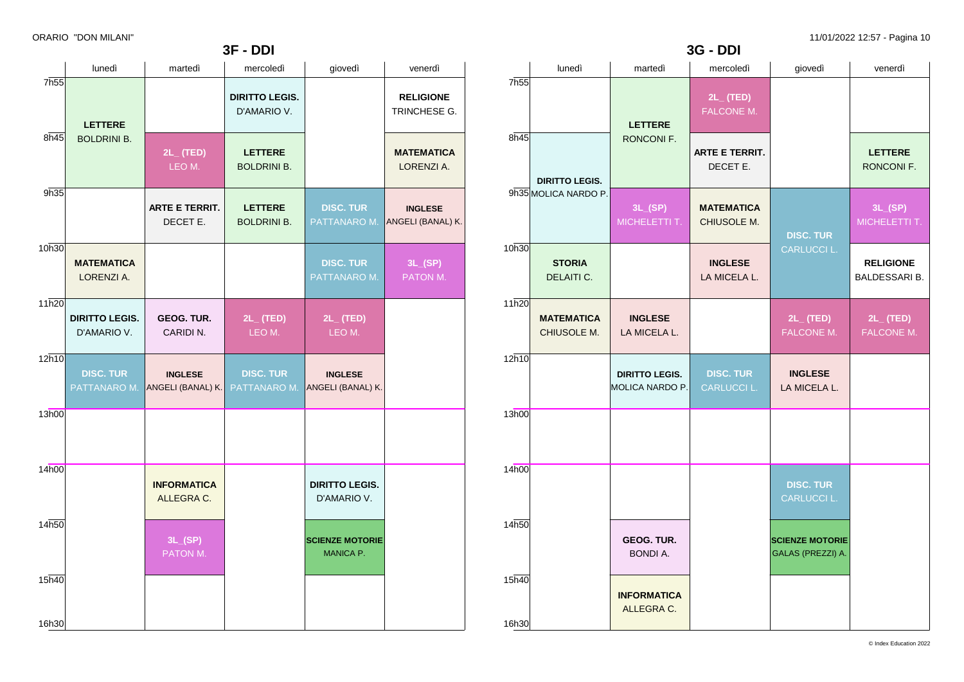**3F - DDI**

|       |                                      |                                     | JΙ<br>- וש                           |                                      |                                     |                   |                                |
|-------|--------------------------------------|-------------------------------------|--------------------------------------|--------------------------------------|-------------------------------------|-------------------|--------------------------------|
|       | lunedì                               | martedì                             | mercoledì                            | giovedì                              | venerdì                             |                   | luned                          |
| 7h55  | <b>LETTERE</b>                       |                                     | <b>DIRITTO LEGIS.</b><br>D'AMARIO V. |                                      | <b>RELIGIONE</b><br>TRINCHESE G.    | 7h55              |                                |
| 8h45  | <b>BOLDRINI B.</b>                   | $2L_{-}$ (TED)<br>LEO M.            | <b>LETTERE</b><br><b>BOLDRINI B.</b> |                                      | <b>MATEMATICA</b><br>LORENZI A.     | 8h45              | <b>DIRITTO I</b>               |
| 9h35  |                                      | <b>ARTE E TERRIT.</b><br>DECET E.   | <b>LETTERE</b><br><b>BOLDRINI B.</b> | <b>DISC. TUR</b><br>PATTANARO M.     | <b>INGLESE</b><br>ANGELI (BANAL) K. |                   | 9h35 MOLICA NA                 |
| 10h30 | <b>MATEMATICA</b><br>LORENZI A.      |                                     |                                      | <b>DISC. TUR</b><br>PATTANARO M.     | 3L(SP)<br>PATON M.                  | 10h30             | <b>STOR</b><br><b>DELAIT</b>   |
| 11h20 | <b>DIRITTO LEGIS.</b><br>D'AMARIO V. | GEOG. TUR.<br>CARIDI N.             | $2L_{-}$ (TED)<br>LEO M.             | $2L_{-}$ (TED)<br>LEO M.             |                                     | 11h20             | <b>MATEMA</b><br><b>CHIUSO</b> |
| 12h10 | <b>DISC. TUR</b><br>PATTANARO M.     | <b>INGLESE</b><br>ANGELI (BANAL) K. | <b>DISC. TUR</b><br>PATTANARO M.     | <b>INGLESE</b><br>ANGELI (BANAL) K.  |                                     | 12h10             |                                |
| 13h00 |                                      |                                     |                                      |                                      |                                     | 13h00             |                                |
| 14h00 |                                      | <b>INFORMATICA</b><br>ALLEGRA C.    |                                      | <b>DIRITTO LEGIS.</b><br>D'AMARIO V. |                                     | 14 <sub>h00</sub> |                                |
| 14h50 |                                      | 3L(SP)<br>PATON M.                  |                                      | <b>SCIENZE MOTORIE</b><br>MANICA P.  |                                     | 14h50             |                                |
| 15h40 |                                      |                                     |                                      |                                      |                                     | 15h40             |                                |
| 16h30 |                                      |                                     |                                      |                                      |                                     | 16h30             |                                |

|                  |                                  |                                                 | <b>3G - DDI</b>                   |                                             |                                          |
|------------------|----------------------------------|-------------------------------------------------|-----------------------------------|---------------------------------------------|------------------------------------------|
|                  | lunedì                           | martedì                                         | mercoledì                         | giovedì                                     | venerdì                                  |
| 7h <sub>55</sub> |                                  | <b>LETTERE</b>                                  | $2L_{-}$ (TED)<br>FALCONE M.      |                                             |                                          |
| 8h45             | <b>DIRITTO LEGIS.</b>            | RONCONI F.                                      | <b>ARTE E TERRIT.</b><br>DECET E. |                                             | <b>LETTERE</b><br>RONCONI F.             |
|                  | 9h35 MOLICA NARDO P.             | 3L(SP)<br>MICHELETTI T.                         | <b>MATEMATICA</b><br>CHIUSOLE M.  | <b>DISC. TUR</b>                            | 3L(SP)<br>MICHELETTI T.                  |
| 10h30            | <b>STORIA</b><br>DELAITI C.      |                                                 | <b>INGLESE</b><br>LA MICELA L.    | CARLUCCI L.                                 | <b>RELIGIONE</b><br><b>BALDESSARI B.</b> |
| 11h20            | <b>MATEMATICA</b><br>CHIUSOLE M. | <b>INGLESE</b><br>LA MICELA L.                  |                                   | $2L_{-}$ (TED)<br><b>FALCONE M.</b>         | $2L_{-}$ (TED)<br>FALCONE M.             |
| 12h10            |                                  | <b>DIRITTO LEGIS.</b><br><b>MOLICA NARDO P.</b> | <b>DISC. TUR</b><br>CARLUCCI L.   | <b>INGLESE</b><br>LA MICELA L.              |                                          |
| 13h00            |                                  |                                                 |                                   |                                             |                                          |
| 14h00            |                                  |                                                 |                                   | <b>DISC. TUR</b><br>CARLUCCI L.             |                                          |
| 14h50            |                                  | GEOG. TUR.<br><b>BONDI A.</b>                   |                                   | <b>SCIENZE MOTORIE</b><br>GALAS (PREZZI) A. |                                          |
| 15h40            |                                  | <b>INFORMATICA</b><br>ALLEGRA C.                |                                   |                                             |                                          |
| 16h30            |                                  |                                                 |                                   |                                             |                                          |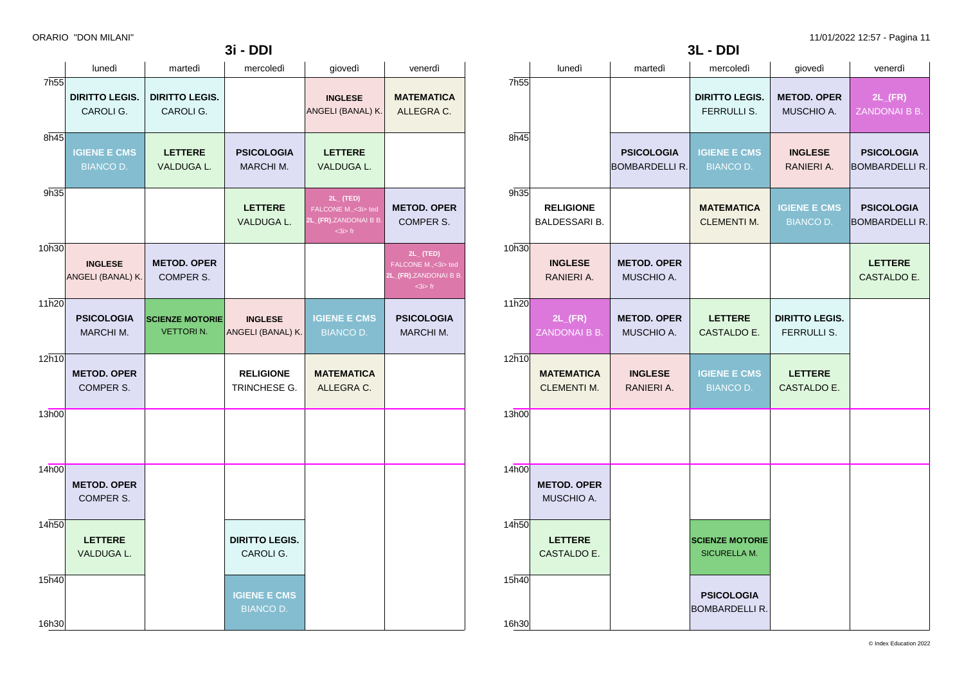|                | lunedì                                  | martedì                                    | mercoledì                                     | giovedì                                     | venerdì                                    |
|----------------|-----------------------------------------|--------------------------------------------|-----------------------------------------------|---------------------------------------------|--------------------------------------------|
| 7h55           |                                         |                                            | <b>DIRITTO LEGIS.</b><br>FERRULLI S.          | <b>METOD. OPER</b><br>MUSCHIO A.            | $2L$ <sub>(FR)</sub><br>ZANDONAI B B.      |
| 8h45           |                                         | <b>PSICOLOGIA</b><br><b>BOMBARDELLI R.</b> | <b>IGIENE E CMS</b><br><b>BIANCO D.</b>       | <b>INGLESE</b><br>RANIERI A.                | <b>PSICOLOGIA</b><br><b>BOMBARDELLI R.</b> |
| 9h35           | <b>RELIGIONE</b><br>BALDESSARI B.       |                                            | <b>MATEMATICA</b><br><b>CLEMENTI M.</b>       | <b>IGIENE E CMS</b><br><b>BIANCO D.</b>     | <b>PSICOLOGIA</b><br><b>BOMBARDELLI R.</b> |
| 10h30          | <b>INGLESE</b><br>RANIERI A.            | <b>METOD. OPER</b><br>MUSCHIO A.           |                                               |                                             | <b>LETTERE</b><br>CASTALDO E.              |
| 11h20          | $2L$ <sub>(FR)</sub><br>ZANDONAI B B.   | <b>METOD. OPER</b><br>MUSCHIO A.           | <b>LETTERE</b><br>CASTALDO E.                 | <b>DIRITTO LEGIS.</b><br><b>FERRULLI S.</b> |                                            |
| 12h10          | <b>MATEMATICA</b><br><b>CLEMENTI M.</b> | <b>INGLESE</b><br>RANIERI A.               | <b>IGIENE E CMS</b><br><b>BIANCO D.</b>       | <b>LETTERE</b><br>CASTALDO E.               |                                            |
| 13h00          |                                         |                                            |                                               |                                             |                                            |
| 14h00          | <b>METOD. OPER</b><br>MUSCHIO A.        |                                            |                                               |                                             |                                            |
| 14h50          | <b>LETTERE</b><br>CASTALDO E.           |                                            | <b>SCIENZE MOTORIE</b><br><b>SICURELLA M.</b> |                                             |                                            |
| 15h40<br>16h30 |                                         |                                            | <b>PSICOLOGIA</b><br><b>BOMBARDELLI R.</b>    |                                             |                                            |

**3L - DDI**

|                  | lunedì                                  | martedì                                    | mercoledì                               | giovedì                                                                       | venerdì                                                                    |  |
|------------------|-----------------------------------------|--------------------------------------------|-----------------------------------------|-------------------------------------------------------------------------------|----------------------------------------------------------------------------|--|
| 7h <sub>55</sub> | <b>DIRITTO LEGIS.</b><br>CAROLI G.      | <b>DIRITTO LEGIS.</b><br>CAROLI G.         |                                         | <b>INGLESE</b><br>ANGELI (BANAL) K.                                           | <b>MATEMATICA</b><br>ALLEGRA C.                                            |  |
| 8h45             | <b>IGIENE E CMS</b><br><b>BIANCO D.</b> | <b>LETTERE</b><br>VALDUGA L.               | <b>PSICOLOGIA</b><br>MARCHI M.          | <b>LETTERE</b><br>VALDUGA L.                                                  |                                                                            |  |
| 9h35             |                                         |                                            | <b>LETTERE</b><br>VALDUGA L.            | $2L_{-}$ (TED)<br>FALCONE M., < 3i> ted<br>2L_(FR),ZANDONAI B B.<br>$3$ is fr | <b>METOD. OPER</b><br>COMPER S.                                            |  |
| 10h30            | <b>INGLESE</b><br>ANGELI (BANAL) K.     | <b>METOD. OPER</b><br>COMPER S.            |                                         |                                                                               | $2L$ (TED)<br>FALCONE M., < 3i > ted<br>2L_(FR),ZANDONAI B B.<br>$3$ is fr |  |
| 11h20            | <b>PSICOLOGIA</b><br>MARCHI M.          | <b>SCIENZE MOTORIE</b><br><b>VETTORIN.</b> | <b>INGLESE</b><br>ANGELI (BANAL) K.     | <b>IGIENE E CMS</b><br><b>BIANCO D.</b>                                       | <b>PSICOLOGIA</b><br>MARCHI M.                                             |  |
| 12h10            | <b>METOD. OPER</b><br>COMPER S.         |                                            | <b>RELIGIONE</b><br>TRINCHESE G.        | <b>MATEMATICA</b><br>ALLEGRA C.                                               |                                                                            |  |
| 13h00            |                                         |                                            |                                         |                                                                               |                                                                            |  |
| 14h00            | <b>METOD. OPER</b><br>COMPER S.         |                                            |                                         |                                                                               |                                                                            |  |
| 14h50            | <b>LETTERE</b><br>VALDUGA L.            |                                            | <b>DIRITTO LEGIS.</b><br>CAROLI G.      |                                                                               |                                                                            |  |
| 15h40<br>16h30   |                                         |                                            | <b>IGIENE E CMS</b><br><b>BIANCO D.</b> |                                                                               |                                                                            |  |

**3i - DDI**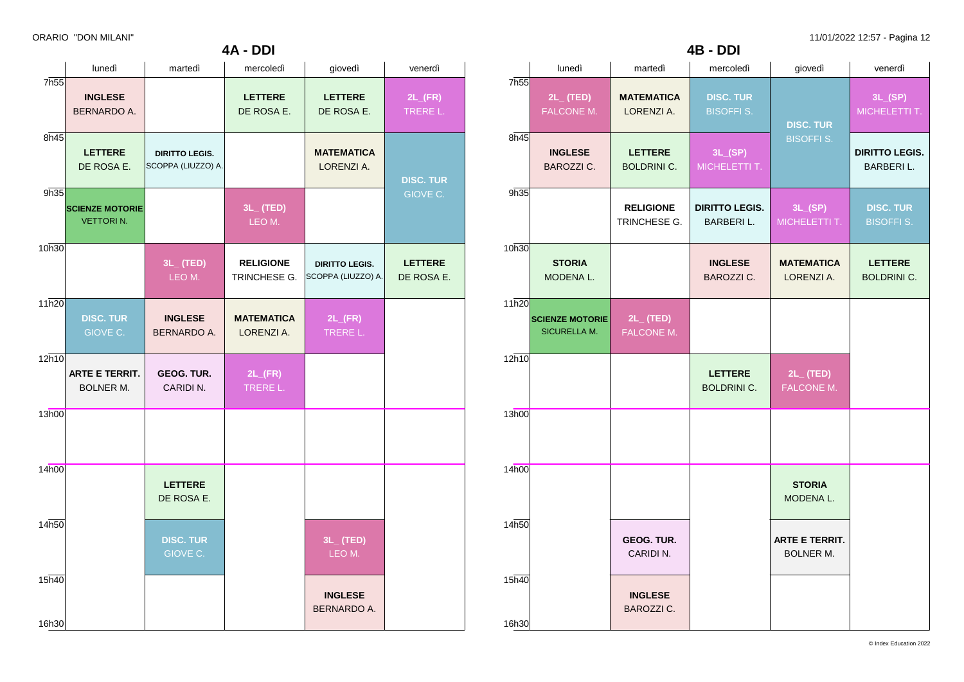|                | lunedì                                     | martedì                                     | mercoledì                        | giovedì                                     | venerdì                          |
|----------------|--------------------------------------------|---------------------------------------------|----------------------------------|---------------------------------------------|----------------------------------|
| 7h55           | <b>INGLESE</b><br><b>BERNARDO A.</b>       |                                             | <b>LETTERE</b><br>DE ROSA E.     | <b>LETTERE</b><br>DE ROSA E.                | $2L$ <sub>(FR)</sub><br>TRERE L. |
| 8h45           | <b>LETTERE</b><br>DE ROSA E.               | <b>DIRITTO LEGIS.</b><br>SCOPPA (LIUZZO) A. |                                  | <b>MATEMATICA</b><br>LORENZI A.             | <b>DISC. TUR</b>                 |
| 9h35           | <b>SCIENZE MOTORIE</b><br><b>VETTORIN.</b> |                                             | $3L_{-}$ (TED)<br>LEO M.         |                                             | GIOVE C.                         |
| 10h30          |                                            | $3L_{-}$ (TED)<br>LEO M.                    | <b>RELIGIONE</b><br>TRINCHESE G. | <b>DIRITTO LEGIS.</b><br>SCOPPA (LIUZZO) A. | <b>LETTERE</b><br>DE ROSA E.     |
| 11h20          | <b>DISC. TUR</b><br>GIOVE C.               | <b>INGLESE</b><br><b>BERNARDO A.</b>        | <b>MATEMATICA</b><br>LORENZI A.  | $2L$ <sub>(FR)</sub><br>TRERE L.            |                                  |
| 12h10          | <b>ARTE E TERRIT.</b><br><b>BOLNER M.</b>  | GEOG. TUR.<br>CARIDIN.                      | $2L$ <sub>(FR)</sub><br>TRERE L. |                                             |                                  |
| 13h00          |                                            |                                             |                                  |                                             |                                  |
| 14h00          |                                            | <b>LETTERE</b><br>DE ROSA E.                |                                  |                                             |                                  |
| 14h50          |                                            | <b>DISC. TUR</b><br>GIOVE C.                |                                  | $3L_{-}$ (TED)<br>LEO M.                    |                                  |
| 15h40<br>16h30 |                                            |                                             |                                  | <b>INGLESE</b><br><b>BERNARDO A.</b>        |                                  |

**4A - DDI**

|                  | lunedì                                        | martedì                              | mercoledì                                 | giovedì                                   | venerdì                                    |
|------------------|-----------------------------------------------|--------------------------------------|-------------------------------------------|-------------------------------------------|--------------------------------------------|
| 7h <sub>55</sub> | $2L_{-}$ (TED)<br>FALCONE M.                  | <b>MATEMATICA</b><br>LORENZI A.      | <b>DISC. TUR</b><br><b>BISOFFI S.</b>     | <b>DISC. TUR</b>                          | 3L(SP)<br>MICHELETTI T.                    |
| 8h45             | <b>INGLESE</b><br><b>BAROZZI C.</b>           | <b>LETTERE</b><br><b>BOLDRINI C.</b> | 3L(SP)<br>MICHELETTI T.                   | <b>BISOFFI S.</b>                         | <b>DIRITTO LEGIS.</b><br><b>BARBERI L.</b> |
| 9h35             |                                               | <b>RELIGIONE</b><br>TRINCHESE G.     | <b>DIRITTO LEGIS.</b><br><b>BARBERIL.</b> | 3L(SP)<br>MICHELETTI T.                   | <b>DISC. TUR</b><br><b>BISOFFI S.</b>      |
| 10h30            | <b>STORIA</b><br>MODENA L.                    |                                      | <b>INGLESE</b><br><b>BAROZZI C.</b>       | <b>MATEMATICA</b><br>LORENZI A.           | <b>LETTERE</b><br><b>BOLDRINI C.</b>       |
| 11h20            | <b>SCIENZE MOTORIE</b><br><b>SICURELLA M.</b> | $2L_{-}$ (TED)<br>FALCONE M.         |                                           |                                           |                                            |
| 12h10            |                                               |                                      | <b>LETTERE</b><br><b>BOLDRINI C.</b>      | $2L_{-}$ (TED)<br>FALCONE M.              |                                            |
| 13h00            |                                               |                                      |                                           |                                           |                                            |
| 14h00            |                                               |                                      |                                           | <b>STORIA</b><br>MODENA L.                |                                            |
| 14h50            |                                               | GEOG. TUR.<br>CARIDIN.               |                                           | <b>ARTE E TERRIT.</b><br><b>BOLNER M.</b> |                                            |
| 15h40<br>16h30   |                                               | <b>INGLESE</b><br>BAROZZI C.         |                                           |                                           |                                            |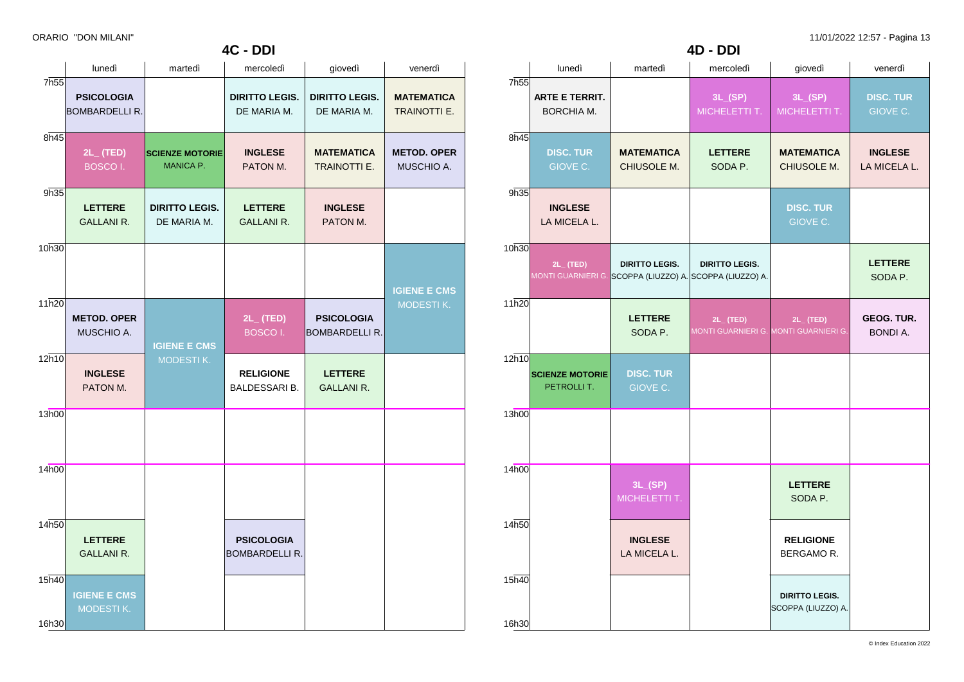|                             | lunedì                                     | martedì                                    | mercoledì                                  | giovedì                                    | venerdì                                  |
|-----------------------------|--------------------------------------------|--------------------------------------------|--------------------------------------------|--------------------------------------------|------------------------------------------|
| 7h55                        | <b>PSICOLOGIA</b><br><b>BOMBARDELLI R.</b> |                                            | <b>DIRITTO LEGIS.</b><br>DE MARIA M.       | <b>DIRITTO LEGIS.</b><br>DE MARIA M.       | <b>MATEMATICA</b><br><b>TRAINOTTI E.</b> |
| 8h45                        | $2L_{-}$ (TED)<br><b>BOSCOI.</b>           | <b>SCIENZE MOTORIE</b><br><b>MANICA P.</b> | <b>INGLESE</b><br>PATON M.                 | <b>MATEMATICA</b><br><b>TRAINOTTI E.</b>   | <b>METOD. OPER</b><br>MUSCHIO A.         |
| 9h35                        | <b>LETTERE</b><br><b>GALLANI R.</b>        | <b>DIRITTO LEGIS.</b><br>DE MARIA M.       | <b>LETTERE</b><br><b>GALLANI R.</b>        | <b>INGLESE</b><br>PATON M.                 |                                          |
| 10h30                       |                                            |                                            |                                            |                                            | <b>IGIENE E CMS</b>                      |
| 11h20                       | <b>METOD. OPER</b><br>MUSCHIO A.           | <b>IGIENE E CMS</b>                        | 2L_ (TED)<br><b>BOSCOI.</b>                | <b>PSICOLOGIA</b><br><b>BOMBARDELLI R.</b> | <b>MODESTIK.</b>                         |
| 12h10                       | <b>INGLESE</b><br>PATON M.                 | MODESTIK.                                  | <b>RELIGIONE</b><br>BALDESSARI B.          | <b>LETTERE</b><br><b>GALLANI R.</b>        |                                          |
| 13h00                       |                                            |                                            |                                            |                                            |                                          |
| 14h00                       |                                            |                                            |                                            |                                            |                                          |
| 14h50                       | <b>LETTERE</b><br><b>GALLANI R.</b>        |                                            | <b>PSICOLOGIA</b><br><b>BOMBARDELLI R.</b> |                                            |                                          |
| $15\overline{h40}$<br>16h30 | <b>IGIENE E CMS</b><br>MODESTIK.           |                                            |                                            |                                            |                                          |

**4C - DDI**

|                  |                                      | <b>4D - DDI</b>                                                                   |                           |                                                         |                                      |
|------------------|--------------------------------------|-----------------------------------------------------------------------------------|---------------------------|---------------------------------------------------------|--------------------------------------|
|                  | lunedì                               | martedì                                                                           | mercoledì                 | giovedì                                                 | venerdì                              |
| 7h <sub>55</sub> | <b>ARTE E TERRIT.</b><br>BORCHIA M.  |                                                                                   | 3L(SP)<br>MICHELETTI T.   | 3L(SP)<br>MICHELETTI T.                                 | <b>DISC. TUR</b><br>GIOVE C.         |
| 8h45             | <b>DISC. TUR</b><br>GIOVE C.         | <b>MATEMATICA</b><br>CHIUSOLE M.                                                  | <b>LETTERE</b><br>SODA P. | <b>MATEMATICA</b><br>CHIUSOLE M.                        | <b>INGLESE</b><br>LA MICELA L.       |
| 9h35             | <b>INGLESE</b><br>LA MICELA L.       |                                                                                   |                           | <b>DISC. TUR</b><br>GIOVE C.                            |                                      |
| 10h30            | $2L_{-}$ (TED)                       | <b>DIRITTO LEGIS.</b><br>MONTI GUARNIERI G. SCOPPA (LIUZZO) A. SCOPPA (LIUZZO) A. | <b>DIRITTO LEGIS.</b>     |                                                         | <b>LETTERE</b><br>SODA P.            |
| 11h20            |                                      | <b>LETTERE</b><br>SODA P.                                                         | $2L_{-}$ (TED)            | $2L_{-}$ (TED)<br>MONTI GUARNIERI G. MONTI GUARNIERI G. | <b>GEOG. TUR.</b><br><b>BONDI A.</b> |
| 12h10            | <b>SCIENZE MOTORIE</b><br>PETROLLIT. | <b>DISC. TUR</b><br>GIOVE C.                                                      |                           |                                                         |                                      |
| 13h00            |                                      |                                                                                   |                           |                                                         |                                      |
| 14h00            |                                      | 3L(SP)<br>MICHELETTI T.                                                           |                           | <b>LETTERE</b><br>SODA P.                               |                                      |
| 14h50            |                                      | <b>INGLESE</b><br>LA MICELA L.                                                    |                           | <b>RELIGIONE</b><br>BERGAMOR.                           |                                      |
| 15h40<br>16h30   |                                      |                                                                                   |                           | <b>DIRITTO LEGIS.</b><br>SCOPPA (LIUZZO) A.             |                                      |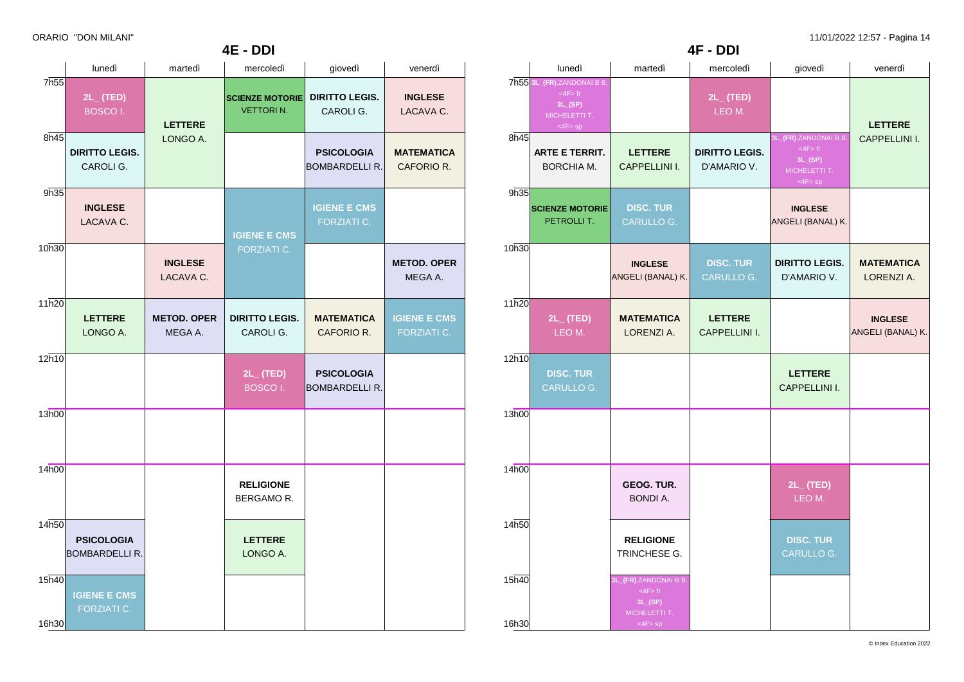|                |                                            |                               | <b>4E - DDI</b>                            |                                            |                                           |
|----------------|--------------------------------------------|-------------------------------|--------------------------------------------|--------------------------------------------|-------------------------------------------|
|                | lunedì                                     | martedì                       | mercoledì                                  | giovedì                                    | venerdì                                   |
| 7h55           | $2L_{-}$ (TED)<br><b>BOSCOI.</b>           | <b>LETTERE</b>                | <b>SCIENZE MOTORIE</b><br><b>VETTORIN.</b> | <b>DIRITTO LEGIS.</b><br>CAROLI G.         | <b>INGLESE</b><br>LACAVA C.               |
| 8h45           | <b>DIRITTO LEGIS.</b><br>CAROLI G.         | LONGO A.                      |                                            | <b>PSICOLOGIA</b><br><b>BOMBARDELLI R.</b> | <b>MATEMATICA</b><br>CAFORIO R.           |
| 9h35           | <b>INGLESE</b><br>LACAVA C.                |                               | <b>IGIENE E CMS</b>                        | <b>IGIENE E CMS</b><br>FORZIATI C.         |                                           |
| 10h30          |                                            | <b>INGLESE</b><br>LACAVA C.   | <b>FORZIATI C.</b>                         |                                            | <b>METOD. OPER</b><br>MEGA A.             |
| 11h20          | <b>LETTERE</b><br>LONGO A.                 | <b>METOD. OPER</b><br>MEGA A. | <b>DIRITTO LEGIS.</b><br>CAROLI G.         | <b>MATEMATICA</b><br>CAFORIO R.            | <b>IGIENE E CMS</b><br><b>FORZIATI C.</b> |
| 12h10          |                                            |                               | $2L_{-}$ (TED)<br>BOSCO I.                 | <b>PSICOLOGIA</b><br><b>BOMBARDELLI R.</b> |                                           |
| 13h00          |                                            |                               |                                            |                                            |                                           |
| 14h00          |                                            |                               | <b>RELIGIONE</b><br>BERGAMOR.              |                                            |                                           |
| 14h50          | <b>PSICOLOGIA</b><br><b>BOMBARDELLI R.</b> |                               | <b>LETTERE</b><br>LONGO A.                 |                                            |                                           |
| 15h40<br>16h30 | <b>IGIENE E CMS</b><br><b>FORZIATI C.</b>  |                               |                                            |                                            |                                           |

|                |                                                                                         | 4F - DDI                                                                           |                                        |                                                                                    |                                     |
|----------------|-----------------------------------------------------------------------------------------|------------------------------------------------------------------------------------|----------------------------------------|------------------------------------------------------------------------------------|-------------------------------------|
|                | lunedì                                                                                  | martedì                                                                            | mercoledì                              | giovedì                                                                            | venerdì                             |
|                | 7h55 3L_(FR), ZANDONAI B B<br>$<$ 4F $>$ fr<br>3L(SP)<br>MICHELETTI T.<br>$<$ 4F $>$ sp |                                                                                    | $2L_{-}$ (TED)<br>LEO M.               |                                                                                    | <b>LETTERE</b>                      |
| 8h45           | <b>ARTE E TERRIT.</b><br><b>BORCHIA M.</b>                                              | <b>LETTERE</b><br>CAPPELLINI I.                                                    | <b>DIRITTO LEGIS.</b><br>D'AMARIO V.   | 3L_(FR),ZANDONAI B B.<br>$<$ 4F $>$ fr<br>3L(SP)<br>MICHELETTI T.<br>$\leq$ 4F> sp | CAPPELLINI I.                       |
| 9h35           | <b>SCIENZE MOTORIE</b><br>PETROLLIT.                                                    | <b>DISC. TUR</b><br>CARULLO G.                                                     |                                        | <b>INGLESE</b><br>ANGELI (BANAL) K.                                                |                                     |
| 10h30          |                                                                                         | <b>INGLESE</b><br>ANGELI (BANAL) K.                                                | <b>DISC. TUR</b><br>CARULLO G.         | <b>DIRITTO LEGIS.</b><br>D'AMARIO V.                                               | <b>MATEMATICA</b><br>LORENZI A.     |
| 11h20          | $2L_{-}$ (TED)<br>LEO M.                                                                | <b>MATEMATICA</b><br>LORENZI A.                                                    | <b>LETTERE</b><br><b>CAPPELLINI I.</b> |                                                                                    | <b>INGLESE</b><br>ANGELI (BANAL) K. |
| 12h10          | <b>DISC. TUR</b><br>CARULLO G.                                                          |                                                                                    |                                        | <b>LETTERE</b><br><b>CAPPELLINI I.</b>                                             |                                     |
| 13h00          |                                                                                         |                                                                                    |                                        |                                                                                    |                                     |
| 14h00          |                                                                                         | <b>GEOG. TUR.</b><br><b>BONDI A.</b>                                               |                                        | $2L_{-}$ (TED)<br>LEO M.                                                           |                                     |
| 14h50          |                                                                                         | <b>RELIGIONE</b><br>TRINCHESE G.                                                   |                                        | <b>DISC. TUR</b><br>CARULLO G.                                                     |                                     |
| 15h40<br>16h30 |                                                                                         | 3L_(FR),ZANDONAI B B.<br>$<$ 4F $>$ fr<br>3L(SP)<br>MICHELETTI T.<br>$<$ 4F $>$ sp |                                        |                                                                                    |                                     |

© Index Education 2022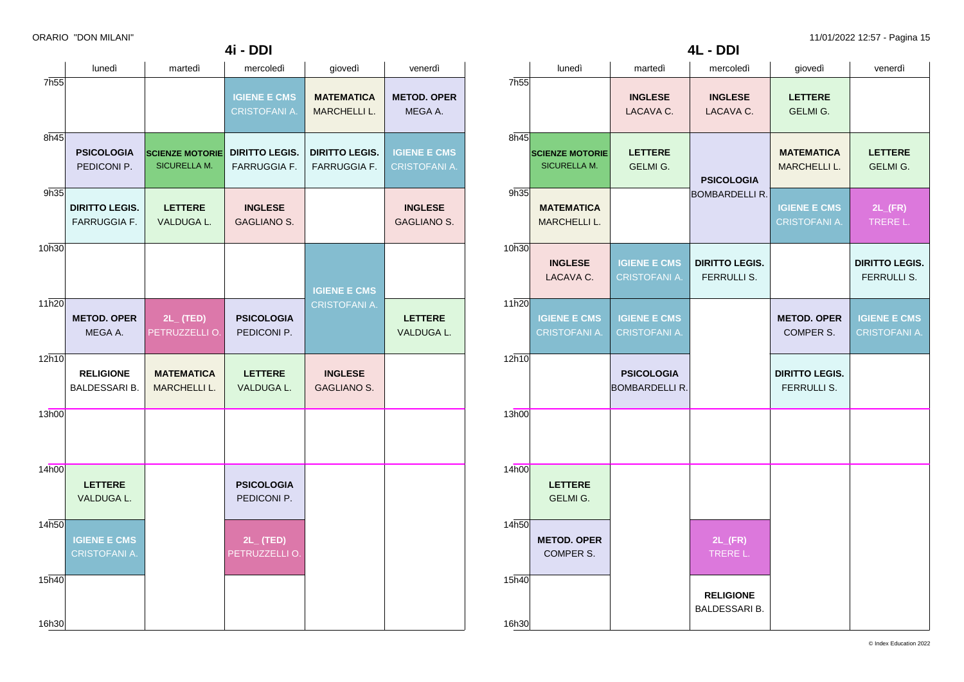|                  | ORARIO "DON MILANI" |                        |                       |                       |                     |                  |                        |                |                |                   | 11/01/2022 12:57 - Pagina 15 |
|------------------|---------------------|------------------------|-----------------------|-----------------------|---------------------|------------------|------------------------|----------------|----------------|-------------------|------------------------------|
|                  |                     |                        | 4i - DDI              |                       |                     |                  |                        |                | 4L - DDI       |                   |                              |
|                  | lunedì              | martedì                | mercoledì             | qiovedì               | venerdì             |                  | lunedì                 | martedì        | mercoledì      | qiovedì           | venerdì                      |
| 7h <sub>55</sub> |                     |                        |                       |                       |                     | 7h <sub>55</sub> |                        |                |                |                   |                              |
|                  |                     |                        | <b>IGIENE E CMS</b>   | <b>MATEMATICA</b>     | <b>METOD, OPER</b>  |                  |                        | <b>INGLESE</b> | <b>INGLESE</b> | <b>LETTERE</b>    |                              |
|                  |                     |                        | <b>CRISTOFANI A</b>   | MARCHELLI L.          | MEGA A.             |                  |                        | LACAVA C.      | LACAVA C.      | GELMI G.          |                              |
|                  |                     |                        |                       |                       |                     |                  |                        |                |                |                   |                              |
| 8h45             |                     |                        |                       |                       |                     | 8h45             |                        |                |                |                   |                              |
|                  | <b>PSICOLOGIA</b>   | <b>SCIENZE MOTORIE</b> | <b>DIRITTO LEGIS.</b> | <b>DIRITTO LEGIS.</b> | <b>IGIENE E CMS</b> |                  | <b>SCIENZE MOTORIE</b> | <b>LETTERE</b> |                | <b>MATEMATICA</b> | <b>LETTERE</b>               |
|                  | PEDICONLP           | SICURELLA M.           | <b>FARRUGGIA F</b>    | <b>FARRUGGIA F</b>    | <b>CRISTOFANI A</b> |                  | SICURELLA M.           | GELMLG         |                | <b>MARCHELLLI</b> | <b>GELMLG</b>                |

| lunedi                                                                              | martedi                                      | mercoledi                                    | giovedi                                                   | venerdi                                     |
|-------------------------------------------------------------------------------------|----------------------------------------------|----------------------------------------------|-----------------------------------------------------------|---------------------------------------------|
|                                                                                     |                                              | <b>IGIENE E CMS</b><br><b>CRISTOFANI A.</b>  | <b>MATEMATICA</b><br><b>MARCHELLI L.</b>                  | <b>METOD. OPER</b><br>MEGA A.               |
|                                                                                     |                                              |                                              |                                                           |                                             |
| <b>PSICOLOGIA</b><br>PEDICONI P.                                                    | <b>SICURELLA M.</b>                          | <b>DIRITTO LEGIS.</b><br><b>FARRUGGIA F.</b> | <b>DIRITTO LEGIS.</b><br><b>FARRUGGIA F.</b>              | <b>IGIENE E CMS</b><br><b>CRISTOFANI A.</b> |
| <b>DIRITTO LEGIS.</b><br>FARRUGGIA F.                                               | <b>LETTERE</b><br>VALDUGA L.                 | <b>INGLESE</b><br><b>GAGLIANO S.</b>         |                                                           | <b>INGLESE</b><br><b>GAGLIANO S.</b>        |
|                                                                                     |                                              |                                              |                                                           |                                             |
|                                                                                     |                                              |                                              | <b>IGIENE E CMS</b>                                       |                                             |
|                                                                                     |                                              |                                              |                                                           |                                             |
| MEGA A.                                                                             | PETRUZZELLI O.                               | PEDICONI P.                                  |                                                           | <b>LETTERE</b><br>VALDUGA L.                |
| <b>RELIGIONE</b>                                                                    | <b>MATEMATICA</b>                            | <b>LETTERE</b>                               | <b>INGLESE</b>                                            |                                             |
|                                                                                     |                                              |                                              |                                                           |                                             |
|                                                                                     |                                              |                                              |                                                           |                                             |
|                                                                                     |                                              |                                              |                                                           |                                             |
|                                                                                     |                                              |                                              |                                                           |                                             |
| <b>LETTERE</b><br>VALDUGA L.                                                        |                                              | <b>PSICOLOGIA</b><br>PEDICONI P.             |                                                           |                                             |
|                                                                                     |                                              |                                              |                                                           |                                             |
| <b>IGIENE E CMS</b><br><b>CRISTOFANI A.</b>                                         |                                              | $2L_{-}$ (TED)<br>PETRUZZELLI O.             |                                                           |                                             |
|                                                                                     |                                              |                                              |                                                           |                                             |
|                                                                                     |                                              |                                              |                                                           |                                             |
|                                                                                     |                                              |                                              |                                                           |                                             |
| 7h55<br>8h45<br>9h35<br>10h30<br>11h20<br>12h10<br>13h00<br>14h00<br>14h50<br>15h40 | <b>METOD. OPER</b><br>BALDESSARI B.<br>16h30 | $2L_{-}$ (TED)<br><b>MARCHELLI L.</b>        | <b>SCIENZE MOTORIE</b><br><b>PSICOLOGIA</b><br>VALDUGA L. | <b>CRISTOFANI A.</b><br><b>GAGLIANO S.</b>  |

|                |                                               | <b>INGLESE</b><br>LACAVA C.                 | <b>INGLESE</b><br>LACAVA C.                 | <b>LETTERE</b><br>GELMI G.                  |                                             |  |
|----------------|-----------------------------------------------|---------------------------------------------|---------------------------------------------|---------------------------------------------|---------------------------------------------|--|
| 8h45           | <b>SCIENZE MOTORIE</b><br><b>SICURELLA M.</b> | <b>LETTERE</b><br>GELMI G.                  | <b>PSICOLOGIA</b>                           | <b>MATEMATICA</b><br><b>MARCHELLI L.</b>    | <b>LETTERE</b><br><b>GELMI G.</b>           |  |
| 9h35           | <b>MATEMATICA</b><br>MARCHELLI L.             |                                             | <b>BOMBARDELLI R.</b>                       | <b>IGIENE E CMS</b><br><b>CRISTOFANI A.</b> | $2L$ <sub>(FR)</sub><br>TRERE L.            |  |
| 10h30          | <b>INGLESE</b><br>LACAVA C.                   | <b>IGIENE E CMS</b><br><b>CRISTOFANI A.</b> | <b>DIRITTO LEGIS.</b><br><b>FERRULLI S.</b> |                                             | <b>DIRITTO LEGIS.</b><br><b>FERRULLI S.</b> |  |
| 11h20          | <b>IGIENE E CMS</b><br><b>CRISTOFANI A.</b>   | <b>IGIENE E CMS</b><br><b>CRISTOFANI A.</b> |                                             | <b>METOD. OPER</b><br>COMPER S.             | <b>IGIENE E CMS</b><br><b>CRISTOFANI A.</b> |  |
| 12h10          |                                               | <b>PSICOLOGIA</b><br><b>BOMBARDELLI R.</b>  |                                             | <b>DIRITTO LEGIS.</b><br>FERRULLI S.        |                                             |  |
| 13h00          |                                               |                                             |                                             |                                             |                                             |  |
| 14h00          | <b>LETTERE</b><br>GELMI G.                    |                                             |                                             |                                             |                                             |  |
| 14h50          | <b>METOD. OPER</b><br>COMPER S.               |                                             | $2L$ <sub>(FR)</sub><br>TRERE L.            |                                             |                                             |  |
| 15h40<br>16h30 |                                               |                                             | <b>RELIGIONE</b><br>BALDESSARI B.           |                                             |                                             |  |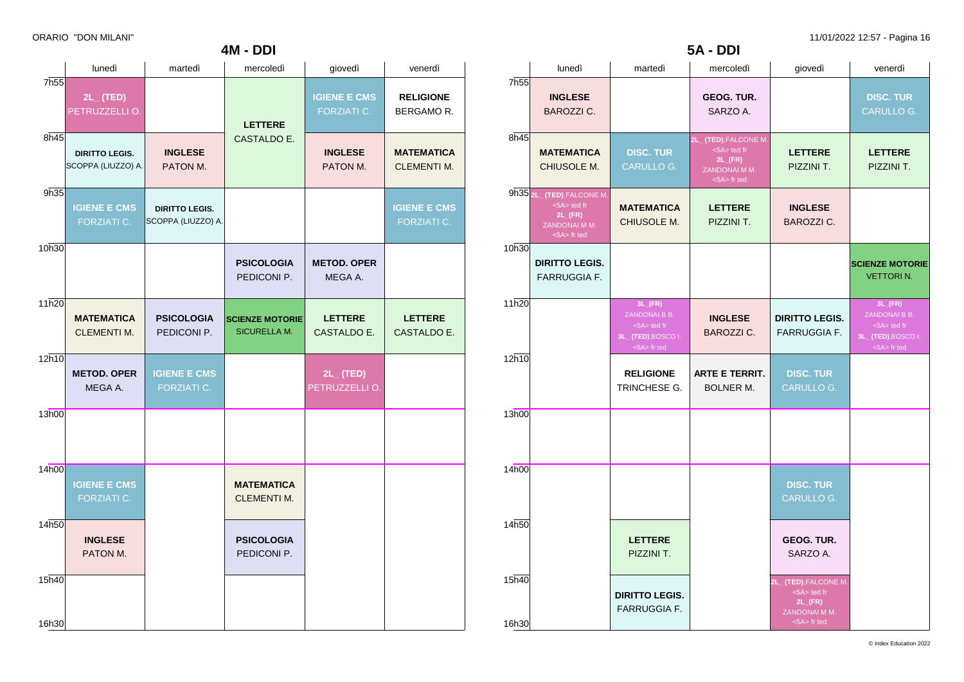|       | lunedì                                      | martedì                                     | mercoledì                                     | giovedì                                   | venerdì                                 |
|-------|---------------------------------------------|---------------------------------------------|-----------------------------------------------|-------------------------------------------|-----------------------------------------|
| 7h55  | $2L_{-}$ (TED)<br>PETRUZZELLI O.            |                                             | <b>LETTERE</b>                                | <b>IGIENE E CMS</b><br><b>FORZIATI C.</b> | <b>RELIGIONE</b><br>BERGAMOR.           |
| 8h45  | <b>DIRITTO LEGIS.</b><br>SCOPPA (LIUZZO) A. | <b>INGLESE</b><br>PATON M.                  | CASTALDO E.                                   | <b>INGLESE</b><br>PATON M.                | <b>MATEMATICA</b><br><b>CLEMENTI M.</b> |
| 9h35  | <b>IGIENE E CMS</b><br>FORZIATI C.          | <b>DIRITTO LEGIS.</b><br>SCOPPA (LIUZZO) A. |                                               |                                           | <b>IGIENE E CMS</b><br>FORZIATI C.      |
| 10h30 |                                             |                                             | <b>PSICOLOGIA</b><br>PEDICONI P.              | <b>METOD. OPER</b><br>MEGA A.             |                                         |
| 11h20 | <b>MATEMATICA</b><br><b>CLEMENTI M.</b>     | <b>PSICOLOGIA</b><br>PEDICONI P.            | <b>SCIENZE MOTORIE</b><br><b>SICURELLA M.</b> | <b>LETTERE</b><br>CASTALDO E.             | <b>LETTERE</b><br>CASTALDO E.           |
| 12h10 | <b>METOD. OPER</b><br>MEGA A.               | <b>IGIENE E CMS</b><br>FORZIATI C.          |                                               | $2L_{-}$ (TED)<br>PETRUZZELLI O.          |                                         |
| 13h00 |                                             |                                             |                                               |                                           |                                         |
| 14h00 | <b>IGIENE E CMS</b><br>FORZIATI C.          |                                             | <b>MATEMATICA</b><br><b>CLEMENTI M.</b>       |                                           |                                         |
| 14h50 | <b>INGLESE</b><br>PATON M.                  |                                             | <b>PSICOLOGIA</b><br>PEDICONI P.              |                                           |                                         |
| 15h40 |                                             |                                             |                                               |                                           |                                         |
| 16h30 |                                             |                                             |                                               |                                           |                                         |

**4M - DDI**

|                  | 5A - DDI                                                                                          |                                                                                            |                                                                                             |                                                                                             |                                                                                            |  |  |  |
|------------------|---------------------------------------------------------------------------------------------------|--------------------------------------------------------------------------------------------|---------------------------------------------------------------------------------------------|---------------------------------------------------------------------------------------------|--------------------------------------------------------------------------------------------|--|--|--|
|                  | lunedì                                                                                            | martedì                                                                                    | mercoledì                                                                                   | giovedì                                                                                     | venerdì                                                                                    |  |  |  |
| 7h <sub>55</sub> | <b>INGLESE</b><br><b>BAROZZI C.</b>                                                               |                                                                                            | GEOG. TUR.<br>SARZO A.                                                                      |                                                                                             | <b>DISC. TUR</b><br>CARULLO G.                                                             |  |  |  |
| 8h45             | <b>MATEMATICA</b><br>CHIUSOLE M.                                                                  | <b>DISC. TUR</b><br><b>CARULLO G.</b>                                                      | 2L_(TED), FALCONE M.<br><5A> ted fr<br>$2L$ <sub>(FR)</sub><br>ZANDONAI M M.<br><5A> fr ted | <b>LETTERE</b><br>PIZZINI T.                                                                | <b>LETTERE</b><br>PIZZINI T.                                                               |  |  |  |
|                  | 9h35 2L_ (TED), FALCONE M.<br><5A> ted fr<br>$2L$ <sub>(FR)</sub><br>ZANDONAI M M.<br><5A> fr ted | <b>MATEMATICA</b><br>CHIUSOLE M.                                                           | <b>LETTERE</b><br>PIZZINI T.                                                                | <b>INGLESE</b><br><b>BAROZZI C.</b>                                                         |                                                                                            |  |  |  |
| 10h30            | <b>DIRITTO LEGIS.</b><br><b>FARRUGGIA F.</b>                                                      |                                                                                            |                                                                                             |                                                                                             | <b>SCIENZE MOTORIE</b><br><b>VETTORIN.</b>                                                 |  |  |  |
| 11h20            |                                                                                                   | $3L$ <sub>(FR)</sub><br>ZANDONAI B B.<br><5A> ted fr<br>3L_ (TED), BOSCO I.<br><5A> fr ted | <b>INGLESE</b><br><b>BAROZZI C.</b>                                                         | <b>DIRITTO LEGIS.</b><br><b>FARRUGGIA F.</b>                                                | $3L$ <sub>(FR)</sub><br>ZANDONAI B B.<br><5A> ted fr<br>3L_ (TED), BOSCO I.<br><5A> fr ted |  |  |  |
| 12h10            |                                                                                                   | <b>RELIGIONE</b><br>TRINCHESE G.                                                           | <b>ARTE E TERRIT.</b><br><b>BOLNER M.</b>                                                   | <b>DISC. TUR</b><br><b>CARULLO G.</b>                                                       |                                                                                            |  |  |  |
| 13h00            |                                                                                                   |                                                                                            |                                                                                             |                                                                                             |                                                                                            |  |  |  |
| 14h00            |                                                                                                   |                                                                                            |                                                                                             | <b>DISC. TUR</b><br><b>CARULLO G.</b>                                                       |                                                                                            |  |  |  |
| 14h50            |                                                                                                   | <b>LETTERE</b><br>PIZZINI T.                                                               |                                                                                             | <b>GEOG. TUR.</b><br>SARZO A.                                                               |                                                                                            |  |  |  |
| 15h40<br>16h30   |                                                                                                   | <b>DIRITTO LEGIS.</b><br><b>FARRUGGIA F.</b>                                               |                                                                                             | 2L_(TED), FALCONE M.<br><5A> ted fr<br>$2L$ <sub>(FR)</sub><br>ZANDONAI M M.<br><5A> fr ted |                                                                                            |  |  |  |

© Index Education 2022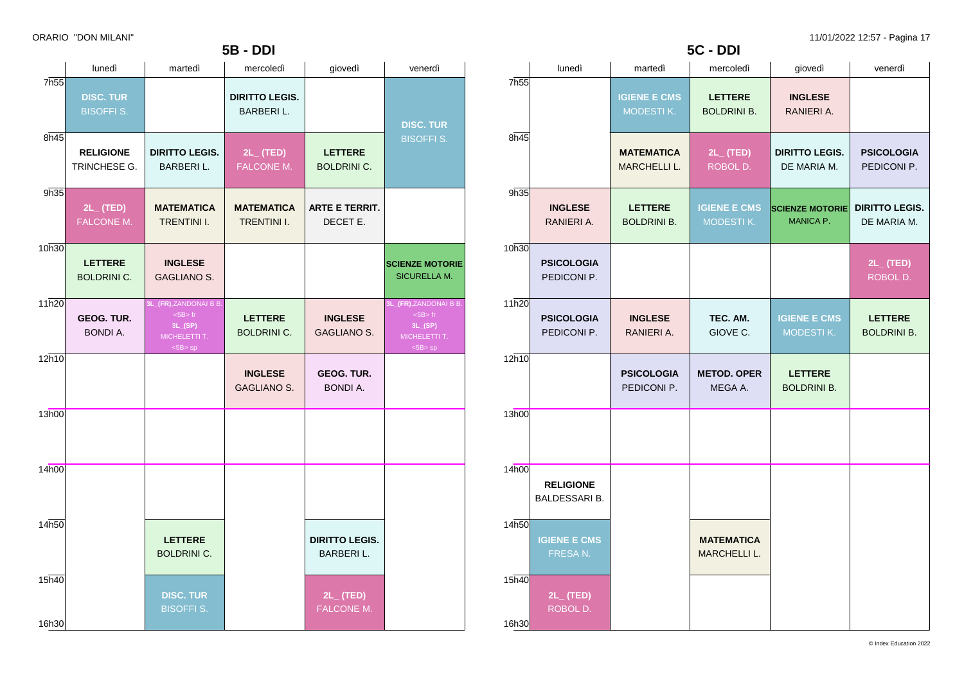|                |                                                      |                                                                                          | <b>5B - DDI</b>                           |                                      |                                                                                             |  |  |  |  |
|----------------|------------------------------------------------------|------------------------------------------------------------------------------------------|-------------------------------------------|--------------------------------------|---------------------------------------------------------------------------------------------|--|--|--|--|
|                | lunedì<br>martedì<br>mercoledì<br>giovedì<br>venerdì |                                                                                          |                                           |                                      |                                                                                             |  |  |  |  |
| 7h55           | <b>DISC. TUR</b><br><b>BISOFFI S.</b>                |                                                                                          | <b>DIRITTO LEGIS.</b><br><b>BARBERIL.</b> |                                      | <b>DISC. TUR</b>                                                                            |  |  |  |  |
| 8h45           | <b>RELIGIONE</b><br>TRINCHESE G.                     | <b>DIRITTO LEGIS.</b><br><b>BARBERIL.</b>                                                | $2L_{-}$ (TED)<br>FALCONE M.              | <b>LETTERE</b><br><b>BOLDRINI C.</b> | <b>BISOFFI S.</b>                                                                           |  |  |  |  |
| 9h35           | $2L_{-}$ (TED)<br><b>FALCONE M.</b>                  | <b>MATEMATICA</b><br><b>TRENTINI I.</b>                                                  | <b>MATEMATICA</b><br><b>TRENTINI I.</b>   | <b>ARTE E TERRIT.</b><br>DECET E.    |                                                                                             |  |  |  |  |
| 10h30          | <b>LETTERE</b><br><b>BOLDRINI C.</b>                 | <b>INGLESE</b><br><b>GAGLIANO S.</b>                                                     |                                           |                                      | <b>SCIENZE MOTORIE</b><br><b>SICURELLA M.</b>                                               |  |  |  |  |
| 11h20          | <b>GEOG. TUR.</b><br><b>BONDI A.</b>                 | 3L_(FR),ZANDONAI B B.<br>$<$ 5B $>$ fr<br>$3L_{-}(SP)$<br>MICHELETTI T.<br>$<$ 5B $>$ sp | <b>LETTERE</b><br><b>BOLDRINI C.</b>      | <b>INGLESE</b><br><b>GAGLIANO S.</b> | <b>3L_(FR)</b> , ZANDONAI B B.<br>$<$ 5B $>$ fr<br>3L(SP)<br>MICHELETTI T.<br>$<$ 5B $>$ sp |  |  |  |  |
| 12h10          |                                                      |                                                                                          | <b>INGLESE</b><br><b>GAGLIANO S.</b>      | GEOG. TUR.<br><b>BONDI A.</b>        |                                                                                             |  |  |  |  |
| 13h00          |                                                      |                                                                                          |                                           |                                      |                                                                                             |  |  |  |  |
| 14h00          |                                                      |                                                                                          |                                           |                                      |                                                                                             |  |  |  |  |
| 14h50          |                                                      | <b>LETTERE</b><br><b>BOLDRINI C.</b>                                                     |                                           | <b>DIRITTO LEGIS.</b><br>BARBERI L.  |                                                                                             |  |  |  |  |
| 15h40<br>16h30 |                                                      | <b>DISC. TUR</b><br><b>BISOFFI S.</b>                                                    |                                           | $2L_{-}$ (TED)<br>FALCONE M.         |                                                                                             |  |  |  |  |

| 5C - DDI         |                                                      |                                          |                                          |                                      |                                      |  |  |  |  |
|------------------|------------------------------------------------------|------------------------------------------|------------------------------------------|--------------------------------------|--------------------------------------|--|--|--|--|
|                  | lunedì<br>giovedì<br>martedì<br>mercoledì<br>venerdì |                                          |                                          |                                      |                                      |  |  |  |  |
| 7h <sub>55</sub> |                                                      | <b>IGIENE E CMS</b><br>MODESTIK.         | <b>LETTERE</b><br><b>BOLDRINI B.</b>     | <b>INGLESE</b><br>RANIERI A.         |                                      |  |  |  |  |
| 8h45             |                                                      | <b>MATEMATICA</b><br><b>MARCHELLI L.</b> | $2L_{-}$ (TED)<br>ROBOL D.               | <b>DIRITTO LEGIS.</b><br>DE MARIA M. | <b>PSICOLOGIA</b><br>PEDICONI P.     |  |  |  |  |
| 9h35             | <b>INGLESE</b><br>RANIERI A.                         | <b>LETTERE</b><br><b>BOLDRINI B.</b>     | <b>IGIENE E CMS</b><br>MODESTIK.         | <b>SCIENZE MOTORIE</b><br>MANICA P.  | <b>DIRITTO LEGIS.</b><br>DE MARIA M. |  |  |  |  |
| 10h30            | <b>PSICOLOGIA</b><br>PEDICONI P.                     |                                          |                                          |                                      | $2L_{-}$ (TED)<br>ROBOL D.           |  |  |  |  |
| 11h20            | <b>PSICOLOGIA</b><br>PEDICONI P.                     | <b>INGLESE</b><br>RANIERI A.             | TEC. AM.<br>GIOVE C.                     | <b>IGIENE E CMS</b><br>MODESTIK.     | <b>LETTERE</b><br><b>BOLDRINI B.</b> |  |  |  |  |
| 12h10            |                                                      | <b>PSICOLOGIA</b><br>PEDICONI P.         | <b>METOD. OPER</b><br>MEGA A.            | <b>LETTERE</b><br><b>BOLDRINI B.</b> |                                      |  |  |  |  |
| 13h00            |                                                      |                                          |                                          |                                      |                                      |  |  |  |  |
| 14h00            | <b>RELIGIONE</b><br>BALDESSARI B.                    |                                          |                                          |                                      |                                      |  |  |  |  |
| 14h50            | <b>IGIENE E CMS</b><br>FRESA N.                      |                                          | <b>MATEMATICA</b><br><b>MARCHELLI L.</b> |                                      |                                      |  |  |  |  |
| 15h40<br>16h30   | $2L_{-}$ (TED)<br>ROBOL D.                           |                                          |                                          |                                      |                                      |  |  |  |  |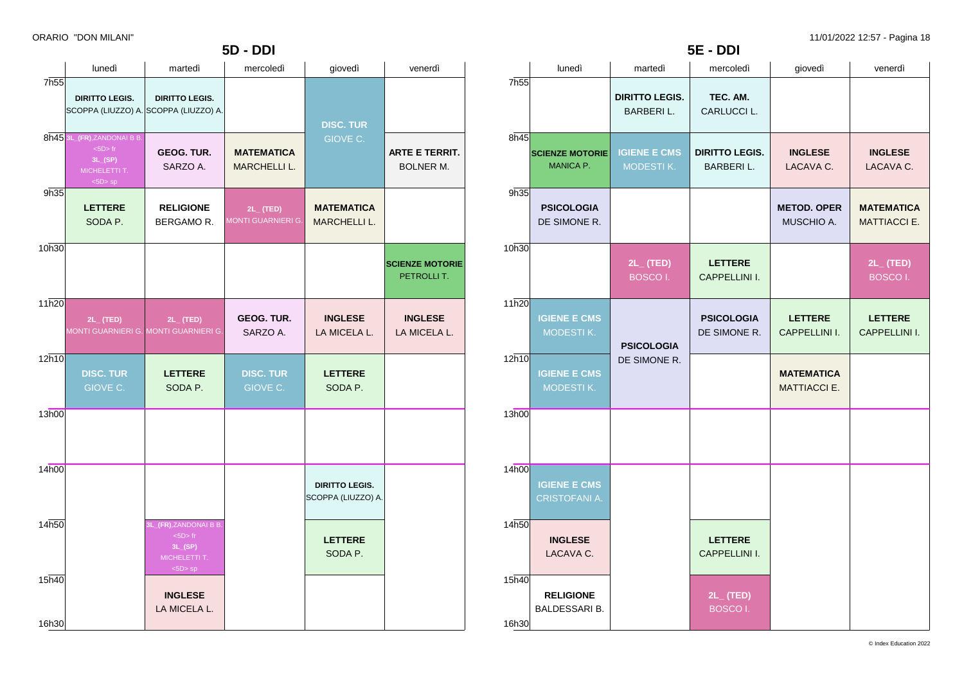**5E - DDI**

| <b>5D - DDI</b>  |                                                                                      |                                                                               |                                             |                                             |                                           |
|------------------|--------------------------------------------------------------------------------------|-------------------------------------------------------------------------------|---------------------------------------------|---------------------------------------------|-------------------------------------------|
|                  | lunedì                                                                               | martedì                                                                       | mercoledì                                   | giovedì                                     | venerdì                                   |
| 7h <sub>55</sub> | <b>DIRITTO LEGIS.</b>                                                                | <b>DIRITTO LEGIS.</b><br>SCOPPA (LIUZZO) A. SCOPPA (LIUZZO) A.                |                                             | <b>DISC. TUR</b>                            |                                           |
|                  | 8h45 3L_(FR), ZANDONAI B B.<br>$<5D>$ fr<br>3L(SP)<br>MICHELETTI T.<br>$<$ 5D $>$ sp | GEOG. TUR.<br>SARZO A.                                                        | <b>MATEMATICA</b><br><b>MARCHELLI L.</b>    | <b>GIOVE C.</b>                             | <b>ARTE E TERRIT.</b><br><b>BOLNER M.</b> |
| 9h35             | <b>LETTERE</b><br>SODA P.                                                            | <b>RELIGIONE</b><br>BERGAMOR.                                                 | $2L_{-}$ (TED)<br><b>MONTI GUARNIERI G.</b> | <b>MATEMATICA</b><br><b>MARCHELLI L.</b>    |                                           |
| 10h30            |                                                                                      |                                                                               |                                             |                                             | <b>SCIENZE MOTORIE</b><br>PETROLLIT.      |
| 11h20            | $2L_{-}$ (TED)                                                                       | $2L_{-}$ (TED)<br>MONTI GUARNIERI G. MONTI GUARNIERI G.                       | <b>GEOG. TUR.</b><br>SARZO A.               | <b>INGLESE</b><br>LA MICELA L.              | <b>INGLESE</b><br>LA MICELA L.            |
| 12h10            | <b>DISC. TUR</b><br>GIOVE C.                                                         | <b>LETTERE</b><br>SODA P.                                                     | <b>DISC. TUR</b><br>GIOVE C.                | <b>LETTERE</b><br>SODA P.                   |                                           |
| 13h00            |                                                                                      |                                                                               |                                             |                                             |                                           |
| 14h00            |                                                                                      |                                                                               |                                             | <b>DIRITTO LEGIS.</b><br>SCOPPA (LIUZZO) A. |                                           |
| 14h50            |                                                                                      | 3L_(FR),ZANDONAI B B.<br>$<5D>$ fr<br>$3L_{-}(SP)$<br>MICHELETTI T.<br><5D>sp |                                             | <b>LETTERE</b><br>SODA P.                   |                                           |
| 15h40<br>16h30   |                                                                                      | <b>INGLESE</b><br>LA MICELA L.                                                |                                             |                                             |                                           |

|                | lunedì                               | martedì                                    | mercoledì                                 | giovedì                                  | venerdì                                  |
|----------------|--------------------------------------|--------------------------------------------|-------------------------------------------|------------------------------------------|------------------------------------------|
| 7h55           |                                      | <b>DIRITTO LEGIS.</b><br><b>BARBERI L.</b> | TEC. AM.<br>CARLUCCI L.                   |                                          |                                          |
| 8h45           | <b>SCIENZE MOTORIE</b><br>MANICA P.  | <b>IGIENE E CMS</b><br>MODESTIK.           | <b>DIRITTO LEGIS.</b><br><b>BARBERIL.</b> | <b>INGLESE</b><br>LACAVA C.              | <b>INGLESE</b><br>LACAVA C.              |
| 9h35           | <b>PSICOLOGIA</b><br>DE SIMONE R.    |                                            |                                           | <b>METOD. OPER</b><br>MUSCHIO A.         | <b>MATEMATICA</b><br><b>MATTIACCI E.</b> |
| 10h30          |                                      | $2L_{-}$ (TED)<br><b>BOSCOI.</b>           | <b>LETTERE</b><br><b>CAPPELLINI I.</b>    |                                          | $2L_{-}$ (TED)<br><b>BOSCOI.</b>         |
| 11h20          | <b>IGIENE E CMS</b><br>MODESTIK.     | <b>PSICOLOGIA</b><br>DE SIMONE R.          | <b>PSICOLOGIA</b><br>DE SIMONE R.         | <b>LETTERE</b><br>CAPPELLINI I.          | <b>LETTERE</b><br>CAPPELLINI I.          |
| 12h10          | <b>IGIENE E CMS</b><br>MODESTIK.     |                                            |                                           | <b>MATEMATICA</b><br><b>MATTIACCI E.</b> |                                          |
| 13h00          |                                      |                                            |                                           |                                          |                                          |
| 14h00          | <b>IGIENE E CMS</b><br>CRISTOFANI A. |                                            |                                           |                                          |                                          |
| 14h50          | <b>INGLESE</b><br>LACAVA C.          |                                            | <b>LETTERE</b><br><b>CAPPELLINI I.</b>    |                                          |                                          |
| 15h40<br>16h30 | <b>RELIGIONE</b><br>BALDESSARI B.    |                                            | 2L_ (TED)<br><b>BOSCOI.</b>               |                                          |                                          |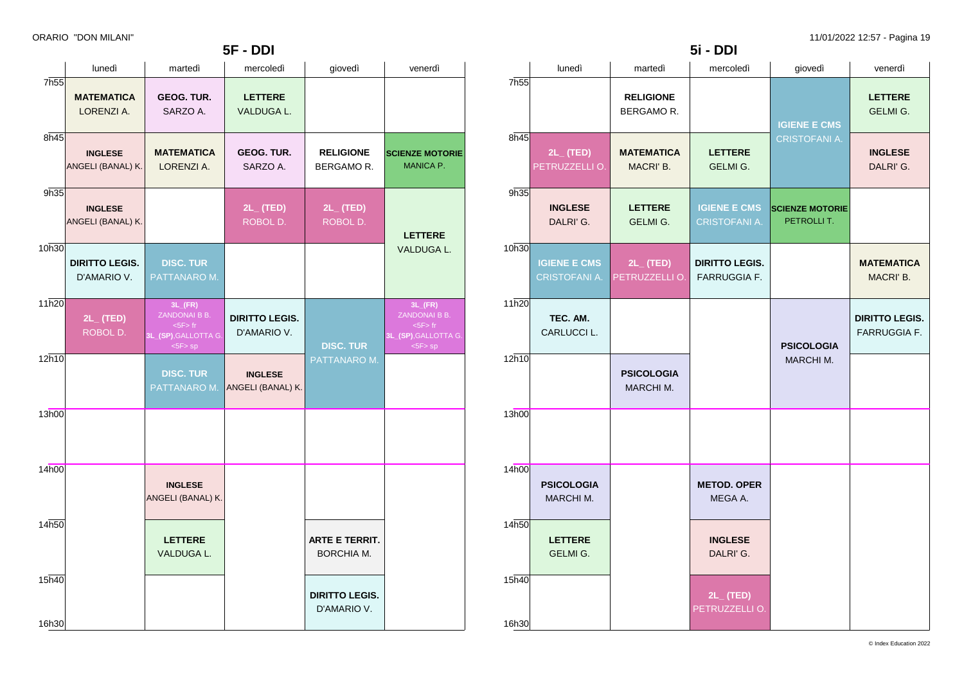|                  |                                      |                                                                                     | 5F - DDI                             |                                      |                                                                                    |
|------------------|--------------------------------------|-------------------------------------------------------------------------------------|--------------------------------------|--------------------------------------|------------------------------------------------------------------------------------|
|                  | lunedì                               | martedì                                                                             | mercoledì                            | giovedì                              | venerdì                                                                            |
| 7h <sub>55</sub> | <b>MATEMATICA</b><br>LORENZI A.      | GEOG. TUR.<br>SARZO A.                                                              | <b>LETTERE</b><br>VALDUGA L.         |                                      |                                                                                    |
| 8h45             | <b>INGLESE</b><br>ANGELI (BANAL) K.  | <b>MATEMATICA</b><br>LORENZI A.                                                     | GEOG. TUR.<br>SARZO A.               | <b>RELIGIONE</b><br>BERGAMOR.        | <b>SCIENZE MOTORIE</b><br><b>MANICA P.</b>                                         |
| 9h35             | <b>INGLESE</b><br>ANGELI (BANAL) K.  |                                                                                     | $2L_{-}$ (TED)<br>ROBOL D.           | 2L_(TED)<br>ROBOL D.                 | <b>LETTERE</b>                                                                     |
| 10h30            | <b>DIRITTO LEGIS.</b><br>D'AMARIO V. | <b>DISC. TUR</b><br>PATTANARO M.                                                    |                                      |                                      | VALDUGA L.                                                                         |
| 11h20            | $2L_{-}$ (TED)<br>ROBOL D.           | $3L$ <sub>(FR)</sub><br>ZANDONAI B B.<br>$5F$ fr<br>3L_(SP), GALLOTTA G.<br><5F> sp | <b>DIRITTO LEGIS.</b><br>D'AMARIO V. | <b>DISC. TUR</b>                     | $3L$ <sub>(FR)</sub><br>ZANDONAI B B.<br>5F > fr<br>3L_(SP),GALLOTTA G.<br><5F> sp |
| 12h10            |                                      | <b>DISC. TUR</b><br>PATTANARO M.                                                    | <b>INGLESE</b><br>ANGELI (BANAL) K.  | PATTANARO M.                         |                                                                                    |
| 13h00            |                                      |                                                                                     |                                      |                                      |                                                                                    |
| 14h00            |                                      | <b>INGLESE</b><br>ANGELI (BANAL) K.                                                 |                                      |                                      |                                                                                    |
| 14h50            |                                      | <b>LETTERE</b><br>VALDUGA L.                                                        |                                      | <b>ARTE E TERRIT.</b><br>BORCHIA M.  |                                                                                    |
| 15h40            |                                      |                                                                                     |                                      | <b>DIRITTO LEGIS.</b><br>D'AMARIO V. |                                                                                    |
| 16h30            |                                      |                                                                                     |                                      |                                      |                                                                                    |

|                  |                                             |                                   | 5i - DDI                                     |                                             |                                              |
|------------------|---------------------------------------------|-----------------------------------|----------------------------------------------|---------------------------------------------|----------------------------------------------|
|                  | lunedì                                      | martedì                           | mercoledì                                    | giovedì                                     | venerdì                                      |
| 7h <sub>55</sub> |                                             | <b>RELIGIONE</b><br>BERGAMO R.    |                                              | <b>IGIENE E CMS</b><br><b>CRISTOFANI A.</b> | <b>LETTERE</b><br>GELMI G.                   |
| 8h45             | $2L_{-}$ (TED)<br>PETRUZZELLI O.            | <b>MATEMATICA</b><br>MACRI' B.    | <b>LETTERE</b><br>GELMI G.                   |                                             | <b>INGLESE</b><br>DALRI'G.                   |
| 9h35             | <b>INGLESE</b><br>DALRI'G.                  | <b>LETTERE</b><br><b>GELMI G.</b> | <b>IGIENE E CMS</b><br><b>CRISTOFANI A.</b>  | <b>SCIENZE MOTORIE</b><br>PETROLLIT.        |                                              |
| 10h30            | <b>IGIENE E CMS</b><br><b>CRISTOFANI A.</b> | $2L_{-}$ (TED)<br>PETRUZZELLI O.  | <b>DIRITTO LEGIS.</b><br><b>FARRUGGIA F.</b> |                                             | <b>MATEMATICA</b><br>MACRI' B.               |
| 11h20            | TEC. AM.<br>CARLUCCI L.                     |                                   |                                              | <b>PSICOLOGIA</b>                           | <b>DIRITTO LEGIS.</b><br><b>FARRUGGIA F.</b> |
| 12h10            |                                             | <b>PSICOLOGIA</b><br>MARCHI M.    |                                              | MARCHI M.                                   |                                              |
| 13h00            |                                             |                                   |                                              |                                             |                                              |
| 14h00            | <b>PSICOLOGIA</b><br>MARCHI M.              |                                   | <b>METOD. OPER</b><br>MEGA A.                |                                             |                                              |
| 14h50            | <b>LETTERE</b><br>GELMI G.                  |                                   | <b>INGLESE</b><br>DALRI'G.                   |                                             |                                              |
| 15h40<br>16h30   |                                             |                                   | $2L_{-}$ (TED)<br>PETRUZZELLI O.             |                                             |                                              |